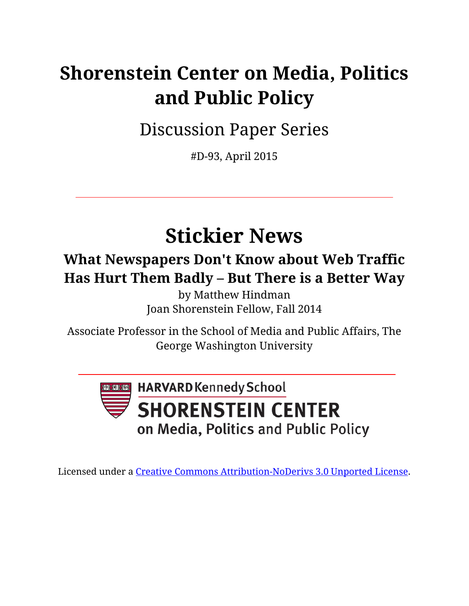# **Shorenstein Center on Media, Politics and Public Policy**

Discussion Paper Series

#D-93, April 2015

# **Stickier News**

# **What Newspapers Don't Know about Web Traffic Has Hurt Them Badly – But There is a Better Way**

by Matthew Hindman Joan Shorenstein Fellow, Fall 2014

Associate Professor in the School of Media and Public Affairs, The George Washington University



Licensed under a [Creative Commons Attribution-NoDerivs 3.0 Unported License.](http://creativecommons.org/licenses/by-nd/3.0/)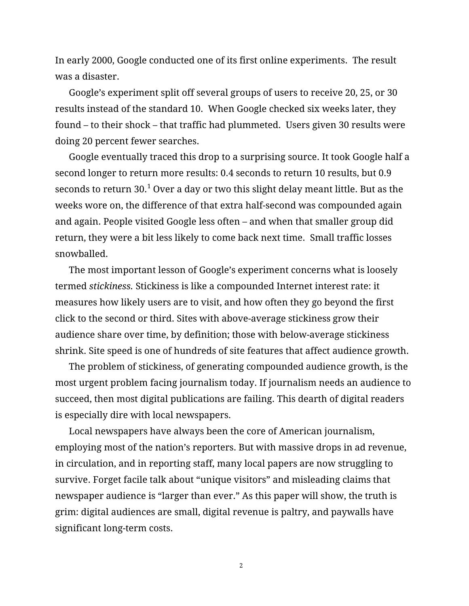In early 2000, Google conducted one of its first online experiments. The result was a disaster.

Google's experiment split off several groups of users to receive 20, 25, or 30 results instead of the standard 10. When Google checked six weeks later, they found – to their shock – that traffic had plummeted. Users given 30 results were doing 20 percent fewer searches.

Google eventually traced this drop to a surprising source. It took Google half a second longer to return more results: 0.4 seconds to return 10 results, but 0.9 seconds to return 30. $^1$  $^1$  Over a day or two this slight delay meant little. But as the weeks wore on, the difference of that extra half-second was compounded again and again. People visited Google less often – and when that smaller group did return, they were a bit less likely to come back next time. Small traffic losses snowballed.

The most important lesson of Google's experiment concerns what is loosely termed *stickiness.* Stickiness is like a compounded Internet interest rate: it measures how likely users are to visit, and how often they go beyond the first click to the second or third. Sites with above-average stickiness grow their audience share over time, by definition; those with below-average stickiness shrink. Site speed is one of hundreds of site features that affect audience growth.

The problem of stickiness, of generating compounded audience growth, is the most urgent problem facing journalism today. If journalism needs an audience to succeed, then most digital publications are failing. This dearth of digital readers is especially dire with local newspapers.

Local newspapers have always been the core of American journalism, employing most of the nation's reporters. But with massive drops in ad revenue, in circulation, and in reporting staff, many local papers are now struggling to survive. Forget facile talk about "unique visitors" and misleading claims that newspaper audience is "larger than ever." As this paper will show, the truth is grim: digital audiences are small, digital revenue is paltry, and paywalls have significant long-term costs.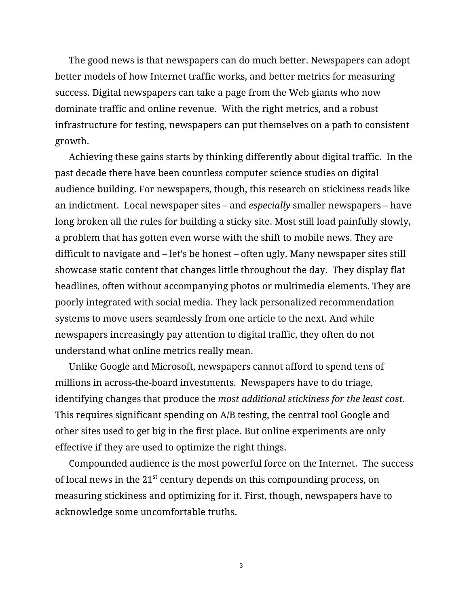The good news is that newspapers can do much better. Newspapers can adopt better models of how Internet traffic works, and better metrics for measuring success. Digital newspapers can take a page from the Web giants who now dominate traffic and online revenue. With the right metrics, and a robust infrastructure for testing, newspapers can put themselves on a path to consistent growth.

Achieving these gains starts by thinking differently about digital traffic. In the past decade there have been countless computer science studies on digital audience building. For newspapers, though, this research on stickiness reads like an indictment. Local newspaper sites – and *especially* smaller newspapers – have long broken all the rules for building a sticky site. Most still load painfully slowly, a problem that has gotten even worse with the shift to mobile news. They are difficult to navigate and – let's be honest – often ugly. Many newspaper sites still showcase static content that changes little throughout the day. They display flat headlines, often without accompanying photos or multimedia elements. They are poorly integrated with social media. They lack personalized recommendation systems to move users seamlessly from one article to the next. And while newspapers increasingly pay attention to digital traffic, they often do not understand what online metrics really mean.

Unlike Google and Microsoft, newspapers cannot afford to spend tens of millions in across-the-board investments. Newspapers have to do triage, identifying changes that produce the *most additional stickiness for the least cost*. This requires significant spending on A/B testing, the central tool Google and other sites used to get big in the first place. But online experiments are only effective if they are used to optimize the right things.

Compounded audience is the most powerful force on the Internet. The success of local news in the  $21<sup>st</sup>$  century depends on this compounding process, on measuring stickiness and optimizing for it. First, though, newspapers have to acknowledge some uncomfortable truths.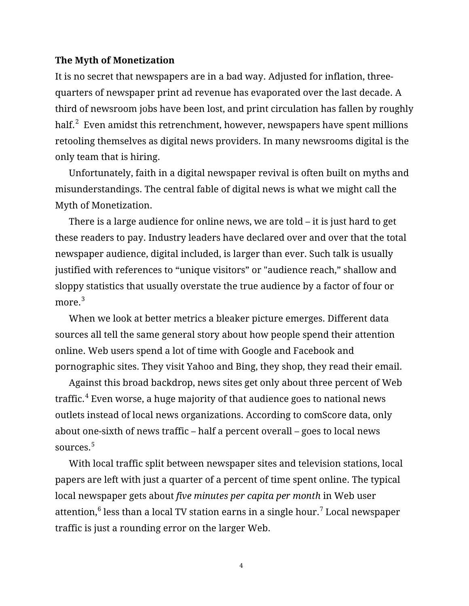#### **The Myth of Monetization**

It is no secret that newspapers are in a bad way. Adjusted for inflation, threequarters of newspaper print ad revenue has evaporated over the last decade. A third of newsroom jobs have been lost, and print circulation has fallen by roughly half. $^2$  $^2$  Even amidst this retrenchment, however, newspapers have spent millions retooling themselves as digital news providers. In many newsrooms digital is the only team that is hiring.

Unfortunately, faith in a digital newspaper revival is often built on myths and misunderstandings. The central fable of digital news is what we might call the Myth of Monetization.

There is a large audience for online news, we are told – it is just hard to get these readers to pay. Industry leaders have declared over and over that the total newspaper audience, digital included, is larger than ever. Such talk is usually justified with references to "unique visitors" or "audience reach," shallow and sloppy statistics that usually overstate the true audience by a factor of four or more.<sup>[3](#page-33-2)</sup>

When we look at better metrics a bleaker picture emerges. Different data sources all tell the same general story about how people spend their attention online. Web users spend a lot of time with Google and Facebook and pornographic sites. They visit Yahoo and Bing, they shop, they read their email.

Against this broad backdrop, news sites get only about three percent of Web traffic.<sup>[4](#page-33-3)</sup> Even worse, a huge majority of that audience goes to national news outlets instead of local news organizations. According to comScore data, only about one-sixth of news traffic – half a percent overall – goes to local news sources.[5](#page-33-4)

With local traffic split between newspaper sites and television stations, local papers are left with just a quarter of a percent of time spent online. The typical local newspaper gets about *five minutes per capita per month* in Web user attention, $6$  less than a local TV station earns in a single hour.<sup>[7](#page-33-6)</sup> Local newspaper traffic is just a rounding error on the larger Web.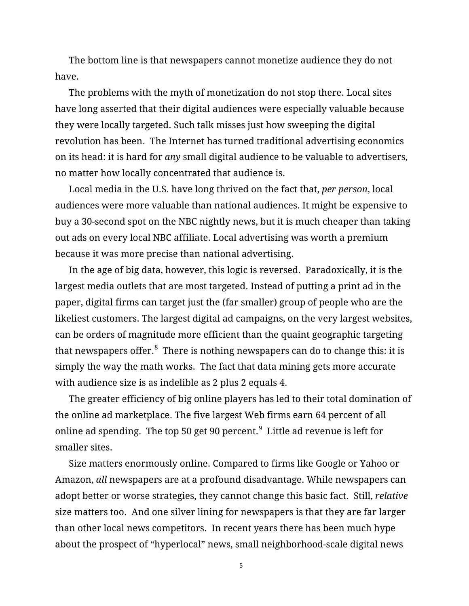The bottom line is that newspapers cannot monetize audience they do not have.

The problems with the myth of monetization do not stop there. Local sites have long asserted that their digital audiences were especially valuable because they were locally targeted. Such talk misses just how sweeping the digital revolution has been. The Internet has turned traditional advertising economics on its head: it is hard for *any* small digital audience to be valuable to advertisers, no matter how locally concentrated that audience is.

Local media in the U.S. have long thrived on the fact that, *per person*, local audiences were more valuable than national audiences. It might be expensive to buy a 30-second spot on the NBC nightly news, but it is much cheaper than taking out ads on every local NBC affiliate. Local advertising was worth a premium because it was more precise than national advertising.

In the age of big data, however, this logic is reversed. Paradoxically, it is the largest media outlets that are most targeted. Instead of putting a print ad in the paper, digital firms can target just the (far smaller) group of people who are the likeliest customers. The largest digital ad campaigns, on the very largest websites, can be orders of magnitude more efficient than the quaint geographic targeting that newspapers offer. $^8\,$  $^8\,$  $^8\,$  There is nothing newspapers can do to change this: it is simply the way the math works. The fact that data mining gets more accurate with audience size is as indelible as 2 plus 2 equals 4.

The greater efficiency of big online players has led to their total domination of the online ad marketplace. The five largest Web firms earn 64 percent of all online ad spending. The top 50 get [9](#page-33-8)0 percent. $^9\,$  Little ad revenue is left for smaller sites.

Size matters enormously online. Compared to firms like Google or Yahoo or Amazon, *all* newspapers are at a profound disadvantage. While newspapers can adopt better or worse strategies, they cannot change this basic fact. Still, *relative* size matters too. And one silver lining for newspapers is that they are far larger than other local news competitors. In recent years there has been much hype about the prospect of "hyperlocal" news, small neighborhood-scale digital news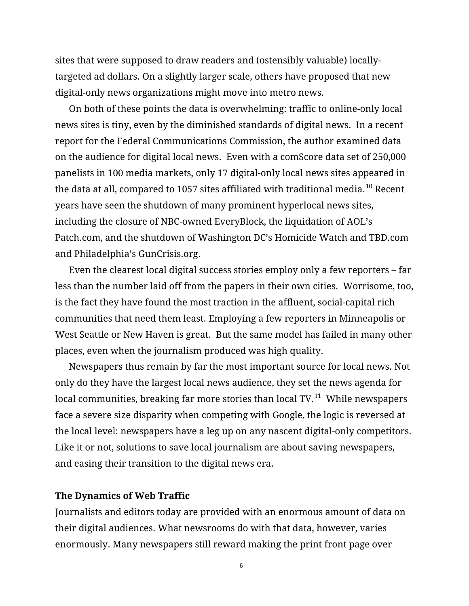sites that were supposed to draw readers and (ostensibly valuable) locallytargeted ad dollars. On a slightly larger scale, others have proposed that new digital-only news organizations might move into metro news.

On both of these points the data is overwhelming: traffic to online-only local news sites is tiny, even by the diminished standards of digital news. In a recent report for the Federal Communications Commission, the author examined data on the audience for digital local news. Even with a comScore data set of 250,000 panelists in 100 media markets, only 17 digital-only local news sites appeared in the data at all, compared to [10](#page-33-9)57 sites affiliated with traditional media. $^{\rm 10}$  Recent years have seen the shutdown of many prominent hyperlocal news sites, including the closure of NBC-owned EveryBlock, the liquidation of AOL's Patch.com, and the shutdown of Washington DC's Homicide Watch and TBD.com and Philadelphia's GunCrisis.org.

Even the clearest local digital success stories employ only a few reporters – far less than the number laid off from the papers in their own cities. Worrisome, too, is the fact they have found the most traction in the affluent, social-capital rich communities that need them least. Employing a few reporters in Minneapolis or West Seattle or New Haven is great. But the same model has failed in many other places, even when the journalism produced was high quality.

Newspapers thus remain by far the most important source for local news. Not only do they have the largest local news audience, they set the news agenda for local communities, breaking far more stories than local  $TV<sup>11</sup>$  $TV<sup>11</sup>$  $TV<sup>11</sup>$  While newspapers face a severe size disparity when competing with Google, the logic is reversed at the local level: newspapers have a leg up on any nascent digital-only competitors. Like it or not, solutions to save local journalism are about saving newspapers, and easing their transition to the digital news era.

#### **The Dynamics of Web Traffic**

Journalists and editors today are provided with an enormous amount of data on their digital audiences. What newsrooms do with that data, however, varies enormously. Many newspapers still reward making the print front page over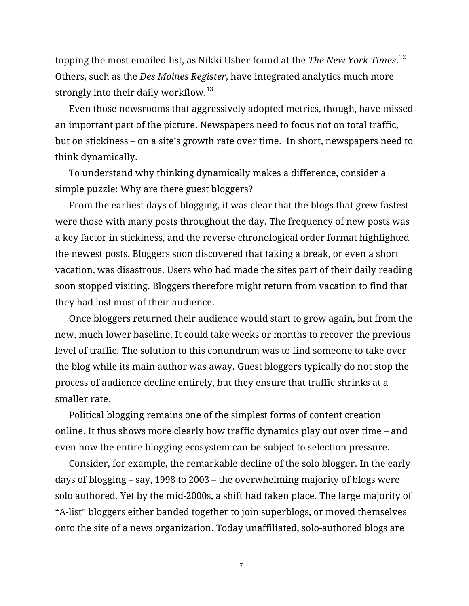topping the most emailed list, as Nikki Usher found at the *The New York Times*. [12](#page-34-0) Others, such as the *Des Moines Register*, have integrated analytics much more strongly into their daily workflow. $^{13}$  $^{13}$  $^{13}$ 

Even those newsrooms that aggressively adopted metrics, though, have missed an important part of the picture. Newspapers need to focus not on total traffic, but on stickiness – on a site's growth rate over time. In short, newspapers need to think dynamically.

To understand why thinking dynamically makes a difference, consider a simple puzzle: Why are there guest bloggers?

From the earliest days of blogging, it was clear that the blogs that grew fastest were those with many posts throughout the day. The frequency of new posts was a key factor in stickiness, and the reverse chronological order format highlighted the newest posts. Bloggers soon discovered that taking a break, or even a short vacation, was disastrous. Users who had made the sites part of their daily reading soon stopped visiting. Bloggers therefore might return from vacation to find that they had lost most of their audience.

Once bloggers returned their audience would start to grow again, but from the new, much lower baseline. It could take weeks or months to recover the previous level of traffic. The solution to this conundrum was to find someone to take over the blog while its main author was away. Guest bloggers typically do not stop the process of audience decline entirely, but they ensure that traffic shrinks at a smaller rate.

Political blogging remains one of the simplest forms of content creation online. It thus shows more clearly how traffic dynamics play out over time – and even how the entire blogging ecosystem can be subject to selection pressure.

Consider, for example, the remarkable decline of the solo blogger. In the early days of blogging – say, 1998 to 2003 – the overwhelming majority of blogs were solo authored. Yet by the mid-2000s, a shift had taken place. The large majority of "A-list" bloggers either banded together to join superblogs, or moved themselves onto the site of a news organization. Today unaffiliated, solo-authored blogs are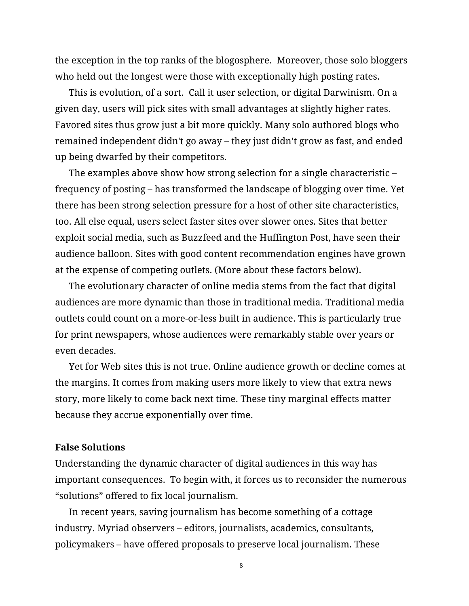the exception in the top ranks of the blogosphere. Moreover, those solo bloggers who held out the longest were those with exceptionally high posting rates.

This is evolution, of a sort. Call it user selection, or digital Darwinism. On a given day, users will pick sites with small advantages at slightly higher rates. Favored sites thus grow just a bit more quickly. Many solo authored blogs who remained independent didn't go away – they just didn't grow as fast, and ended up being dwarfed by their competitors.

The examples above show how strong selection for a single characteristic – frequency of posting – has transformed the landscape of blogging over time. Yet there has been strong selection pressure for a host of other site characteristics, too. All else equal, users select faster sites over slower ones. Sites that better exploit social media, such as Buzzfeed and the Huffington Post, have seen their audience balloon. Sites with good content recommendation engines have grown at the expense of competing outlets. (More about these factors below).

The evolutionary character of online media stems from the fact that digital audiences are more dynamic than those in traditional media. Traditional media outlets could count on a more-or-less built in audience. This is particularly true for print newspapers, whose audiences were remarkably stable over years or even decades.

Yet for Web sites this is not true. Online audience growth or decline comes at the margins. It comes from making users more likely to view that extra news story, more likely to come back next time. These tiny marginal effects matter because they accrue exponentially over time.

#### **False Solutions**

Understanding the dynamic character of digital audiences in this way has important consequences. To begin with, it forces us to reconsider the numerous "solutions" offered to fix local journalism.

In recent years, saving journalism has become something of a cottage industry. Myriad observers – editors, journalists, academics, consultants, policymakers – have offered proposals to preserve local journalism. These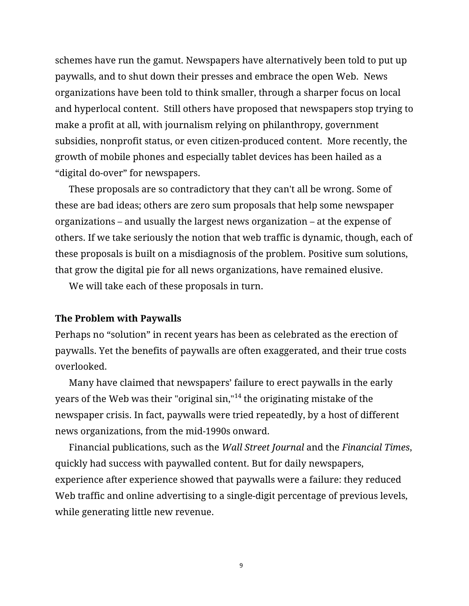schemes have run the gamut. Newspapers have alternatively been told to put up paywalls, and to shut down their presses and embrace the open Web. News organizations have been told to think smaller, through a sharper focus on local and hyperlocal content. Still others have proposed that newspapers stop trying to make a profit at all, with journalism relying on philanthropy, government subsidies, nonprofit status, or even citizen-produced content. More recently, the growth of mobile phones and especially tablet devices has been hailed as a "digital do-over" for newspapers.

These proposals are so contradictory that they can't all be wrong. Some of these are bad ideas; others are zero sum proposals that help some newspaper organizations – and usually the largest news organization – at the expense of others. If we take seriously the notion that web traffic is dynamic, though, each of these proposals is built on a misdiagnosis of the problem. Positive sum solutions, that grow the digital pie for all news organizations, have remained elusive.

We will take each of these proposals in turn.

#### **The Problem with Paywalls**

Perhaps no "solution" in recent years has been as celebrated as the erection of paywalls. Yet the benefits of paywalls are often exaggerated, and their true costs overlooked.

Many have claimed that newspapers' failure to erect paywalls in the early years of the Web was their "original  $\sin$ ," $^{14}$  $^{14}$  $^{14}$  the originating mistake of the newspaper crisis. In fact, paywalls were tried repeatedly, by a host of different news organizations, from the mid-1990s onward.

Financial publications, such as the *Wall Street Journal* and the *Financial Times*, quickly had success with paywalled content. But for daily newspapers, experience after experience showed that paywalls were a failure: they reduced Web traffic and online advertising to a single-digit percentage of previous levels, while generating little new revenue.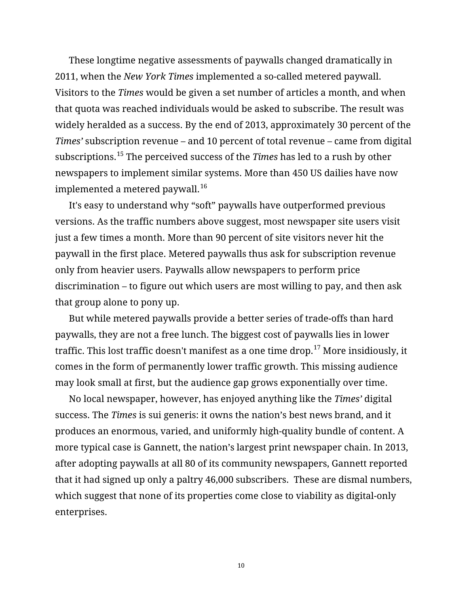These longtime negative assessments of paywalls changed dramatically in 2011, when the *New York Times* implemented a so-called metered paywall. Visitors to the *Times* would be given a set number of articles a month, and when that quota was reached individuals would be asked to subscribe. The result was widely heralded as a success. By the end of 2013, approximately 30 percent of the *Times'* subscription revenue – and 10 percent of total revenue – came from digital subscriptions.[15](#page-34-3) The perceived success of the *Times* has led to a rush by other newspapers to implement similar systems. More than 450 US dailies have now implemented a metered paywall. $^{16}$  $^{16}$  $^{16}$ 

It's easy to understand why "soft" paywalls have outperformed previous versions. As the traffic numbers above suggest, most newspaper site users visit just a few times a month. More than 90 percent of site visitors never hit the paywall in the first place. Metered paywalls thus ask for subscription revenue only from heavier users. Paywalls allow newspapers to perform price discrimination – to figure out which users are most willing to pay, and then ask that group alone to pony up.

But while metered paywalls provide a better series of trade-offs than hard paywalls, they are not a free lunch. The biggest cost of paywalls lies in lower traffic. This lost traffic doesn't manifest as a one time drop. $^{17}$  $^{17}$  $^{17}$  More insidiously, it comes in the form of permanently lower traffic growth. This missing audience may look small at first, but the audience gap grows exponentially over time.

No local newspaper, however, has enjoyed anything like the *Times'* digital success. The *Times* is sui generis: it owns the nation's best news brand, and it produces an enormous, varied, and uniformly high-quality bundle of content. A more typical case is Gannett, the nation's largest print newspaper chain. In 2013, after adopting paywalls at all 80 of its community newspapers, Gannett reported that it had signed up only a paltry 46,000 subscribers. These are dismal numbers, which suggest that none of its properties come close to viability as digital-only enterprises.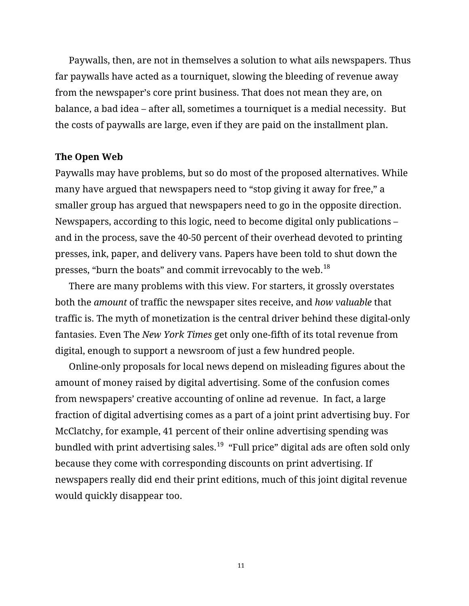Paywalls, then, are not in themselves a solution to what ails newspapers. Thus far paywalls have acted as a tourniquet, slowing the bleeding of revenue away from the newspaper's core print business. That does not mean they are, on balance, a bad idea – after all, sometimes a tourniquet is a medial necessity. But the costs of paywalls are large, even if they are paid on the installment plan.

#### **The Open Web**

Paywalls may have problems, but so do most of the proposed alternatives. While many have argued that newspapers need to "stop giving it away for free," a smaller group has argued that newspapers need to go in the opposite direction. Newspapers, according to this logic, need to become digital only publications – and in the process, save the 40-50 percent of their overhead devoted to printing presses, ink, paper, and delivery vans. Papers have been told to shut down the presses, "burn the boats" and commit irrevocably to the web.<sup>[18](#page-34-6)</sup>

There are many problems with this view. For starters, it grossly overstates both the *amount* of traffic the newspaper sites receive, and *how valuable* that traffic is. The myth of monetization is the central driver behind these digital-only fantasies. Even The *New York Times* get only one-fifth of its total revenue from digital, enough to support a newsroom of just a few hundred people.

Online-only proposals for local news depend on misleading figures about the amount of money raised by digital advertising. Some of the confusion comes from newspapers' creative accounting of online ad revenue. In fact, a large fraction of digital advertising comes as a part of a joint print advertising buy. For McClatchy, for example, 41 percent of their online advertising spending was bundled with print advertising sales.<sup>[19](#page-34-7)</sup> "Full price" digital ads are often sold only because they come with corresponding discounts on print advertising. If newspapers really did end their print editions, much of this joint digital revenue would quickly disappear too.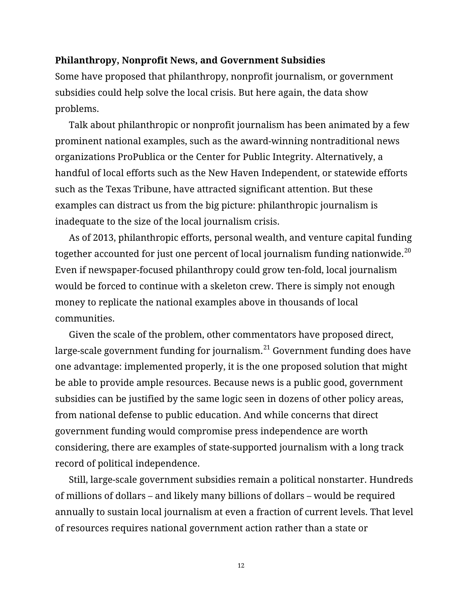#### **Philanthropy, Nonprofit News, and Government Subsidies**

Some have proposed that philanthropy, nonprofit journalism, or government subsidies could help solve the local crisis. But here again, the data show problems.

Talk about philanthropic or nonprofit journalism has been animated by a few prominent national examples, such as the award-winning nontraditional news organizations ProPublica or the Center for Public Integrity. Alternatively, a handful of local efforts such as the New Haven Independent, or statewide efforts such as the Texas Tribune, have attracted significant attention. But these examples can distract us from the big picture: philanthropic journalism is inadequate to the size of the local journalism crisis.

As of 2013, philanthropic efforts, personal wealth, and venture capital funding together accounted for just one percent of local journalism funding nationwide. $^{20}$  $^{20}$  $^{20}$ Even if newspaper-focused philanthropy could grow ten-fold, local journalism would be forced to continue with a skeleton crew. There is simply not enough money to replicate the national examples above in thousands of local communities.

Given the scale of the problem, other commentators have proposed direct, large-scale government funding for journalism. $^\mathrm{21}$  $^\mathrm{21}$  $^\mathrm{21}$  Government funding does have one advantage: implemented properly, it is the one proposed solution that might be able to provide ample resources. Because news is a public good, government subsidies can be justified by the same logic seen in dozens of other policy areas, from national defense to public education. And while concerns that direct government funding would compromise press independence are worth considering, there are examples of state-supported journalism with a long track record of political independence.

Still, large-scale government subsidies remain a political nonstarter. Hundreds of millions of dollars – and likely many billions of dollars – would be required annually to sustain local journalism at even a fraction of current levels. That level of resources requires national government action rather than a state or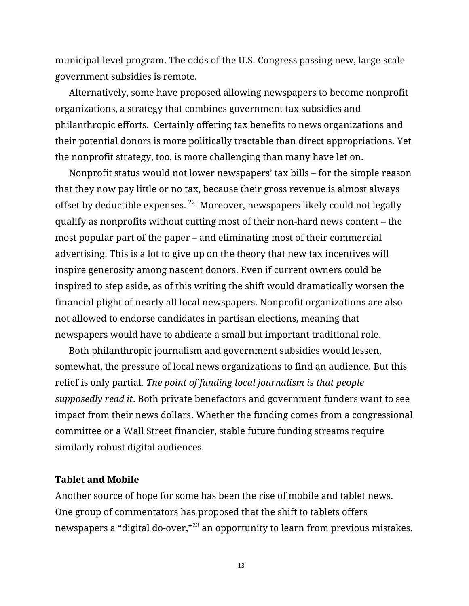municipal-level program. The odds of the U.S. Congress passing new, large-scale government subsidies is remote.

Alternatively, some have proposed allowing newspapers to become nonprofit organizations, a strategy that combines government tax subsidies and philanthropic efforts. Certainly offering tax benefits to news organizations and their potential donors is more politically tractable than direct appropriations. Yet the nonprofit strategy, too, is more challenging than many have let on.

Nonprofit status would not lower newspapers' tax bills – for the simple reason that they now pay little or no tax, because their gross revenue is almost always offset by deductible expenses.  $^{22}$  $^{22}$  $^{22}$  Moreover, newspapers likely could not legally qualify as nonprofits without cutting most of their non-hard news content – the most popular part of the paper – and eliminating most of their commercial advertising. This is a lot to give up on the theory that new tax incentives will inspire generosity among nascent donors. Even if current owners could be inspired to step aside, as of this writing the shift would dramatically worsen the financial plight of nearly all local newspapers. Nonprofit organizations are also not allowed to endorse candidates in partisan elections, meaning that newspapers would have to abdicate a small but important traditional role.

Both philanthropic journalism and government subsidies would lessen, somewhat, the pressure of local news organizations to find an audience. But this relief is only partial. *The point of funding local journalism is that people supposedly read it*. Both private benefactors and government funders want to see impact from their news dollars. Whether the funding comes from a congressional committee or a Wall Street financier, stable future funding streams require similarly robust digital audiences.

## **Tablet and Mobile**

Another source of hope for some has been the rise of mobile and tablet news. One group of commentators has proposed that the shift to tablets offers newspapers a "digital do-over,"<sup>[23](#page-34-11)</sup> an opportunity to learn from previous mistakes.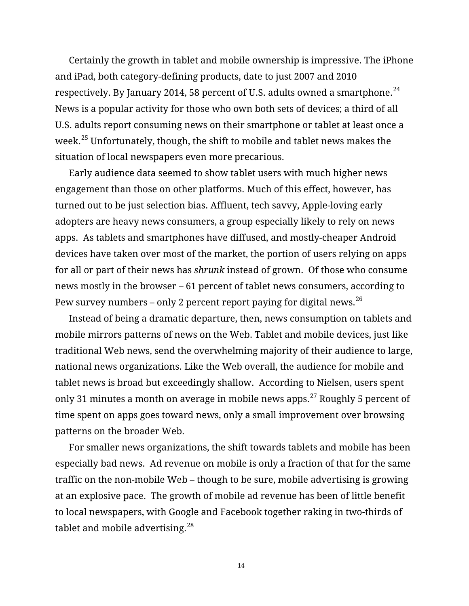Certainly the growth in tablet and mobile ownership is impressive. The iPhone and iPad, both category-defining products, date to just 2007 and 2010 respectively. By January 2014, 58 percent of U.S. adults owned a smartphone.<sup>[24](#page-34-12)</sup> News is a popular activity for those who own both sets of devices; a third of all U.S. adults report consuming news on their smartphone or tablet at least once a week. $^{25}$  $^{25}$  $^{25}$  Unfortunately, though, the shift to mobile and tablet news makes the situation of local newspapers even more precarious.

Early audience data seemed to show tablet users with much higher news engagement than those on other platforms. Much of this effect, however, has turned out to be just selection bias. Affluent, tech savvy, Apple-loving early adopters are heavy news consumers, a group especially likely to rely on news apps. As tablets and smartphones have diffused, and mostly-cheaper Android devices have taken over most of the market, the portion of users relying on apps for all or part of their news has *shrunk* instead of grown. Of those who consume news mostly in the browser – 61 percent of tablet news consumers, according to Pew survey numbers – only 2 percent report paying for digital news. $^{26}$  $^{26}$  $^{26}$ 

Instead of being a dramatic departure, then, news consumption on tablets and mobile mirrors patterns of news on the Web. Tablet and mobile devices, just like traditional Web news, send the overwhelming majority of their audience to large, national news organizations. Like the Web overall, the audience for mobile and tablet news is broad but exceedingly shallow. According to Nielsen, users spent only 31 minutes a month on average in mobile news apps. $^{27}$  $^{27}$  $^{27}$  Roughly 5 percent of time spent on apps goes toward news, only a small improvement over browsing patterns on the broader Web.

For smaller news organizations, the shift towards tablets and mobile has been especially bad news. Ad revenue on mobile is only a fraction of that for the same traffic on the non-mobile Web – though to be sure, mobile advertising is growing at an explosive pace. The growth of mobile ad revenue has been of little benefit to local newspapers, with Google and Facebook together raking in two-thirds of tablet and mobile advertising. $^{28}$  $^{28}$  $^{28}$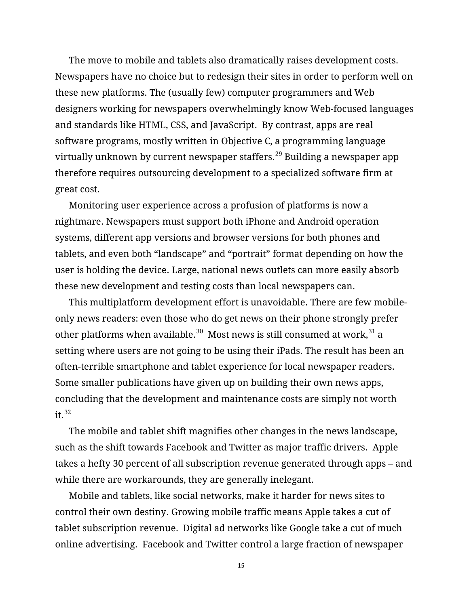The move to mobile and tablets also dramatically raises development costs. Newspapers have no choice but to redesign their sites in order to perform well on these new platforms. The (usually few) computer programmers and Web designers working for newspapers overwhelmingly know Web-focused languages and standards like HTML, CSS, and JavaScript. By contrast, apps are real software programs, mostly written in Objective C, a programming language virtually unknown by current newspaper staffers.<sup>[29](#page-35-4)</sup> Building a newspaper app therefore requires outsourcing development to a specialized software firm at great cost.

Monitoring user experience across a profusion of platforms is now a nightmare. Newspapers must support both iPhone and Android operation systems, different app versions and browser versions for both phones and tablets, and even both "landscape" and "portrait" format depending on how the user is holding the device. Large, national news outlets can more easily absorb these new development and testing costs than local newspapers can.

This multiplatform development effort is unavoidable. There are few mobileonly news readers: even those who do get news on their phone strongly prefer other platforms when available.<sup>[30](#page-35-5)</sup> Most news is still consumed at work,<sup>[31](#page-35-6)</sup> a setting where users are not going to be using their iPads. The result has been an often-terrible smartphone and tablet experience for local newspaper readers. Some smaller publications have given up on building their own news apps, concluding that the development and maintenance costs are simply not worth  $\mathrm{it.^{32}}$  $\mathrm{it.^{32}}$  $\mathrm{it.^{32}}$ 

The mobile and tablet shift magnifies other changes in the news landscape, such as the shift towards Facebook and Twitter as major traffic drivers. Apple takes a hefty 30 percent of all subscription revenue generated through apps – and while there are workarounds, they are generally inelegant.

Mobile and tablets, like social networks, make it harder for news sites to control their own destiny. Growing mobile traffic means Apple takes a cut of tablet subscription revenue. Digital ad networks like Google take a cut of much online advertising. Facebook and Twitter control a large fraction of newspaper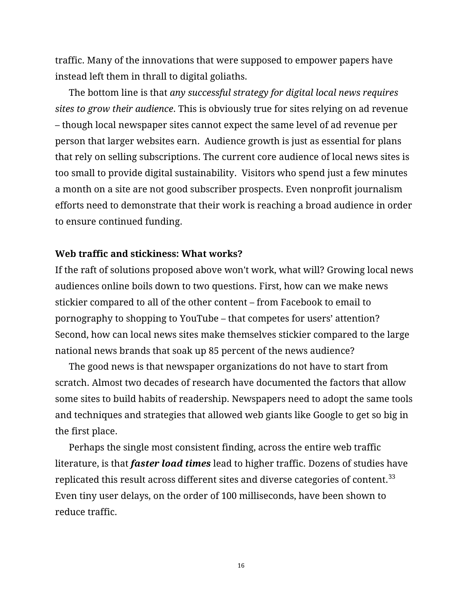traffic. Many of the innovations that were supposed to empower papers have instead left them in thrall to digital goliaths.

The bottom line is that *any successful strategy for digital local news requires sites to grow their audience*. This is obviously true for sites relying on ad revenue – though local newspaper sites cannot expect the same level of ad revenue per person that larger websites earn. Audience growth is just as essential for plans that rely on selling subscriptions. The current core audience of local news sites is too small to provide digital sustainability. Visitors who spend just a few minutes a month on a site are not good subscriber prospects. Even nonprofit journalism efforts need to demonstrate that their work is reaching a broad audience in order to ensure continued funding.

### **Web traffic and stickiness: What works?**

If the raft of solutions proposed above won't work, what will? Growing local news audiences online boils down to two questions. First, how can we make news stickier compared to all of the other content – from Facebook to email to pornography to shopping to YouTube – that competes for users' attention? Second, how can local news sites make themselves stickier compared to the large national news brands that soak up 85 percent of the news audience?

The good news is that newspaper organizations do not have to start from scratch. Almost two decades of research have documented the factors that allow some sites to build habits of readership. Newspapers need to adopt the same tools and techniques and strategies that allowed web giants like Google to get so big in the first place.

Perhaps the single most consistent finding, across the entire web traffic literature, is that *faster load times* lead to higher traffic. Dozens of studies have replicated this result across different sites and diverse categories of content.<sup>[33](#page-35-8)</sup> Even tiny user delays, on the order of 100 milliseconds, have been shown to reduce traffic.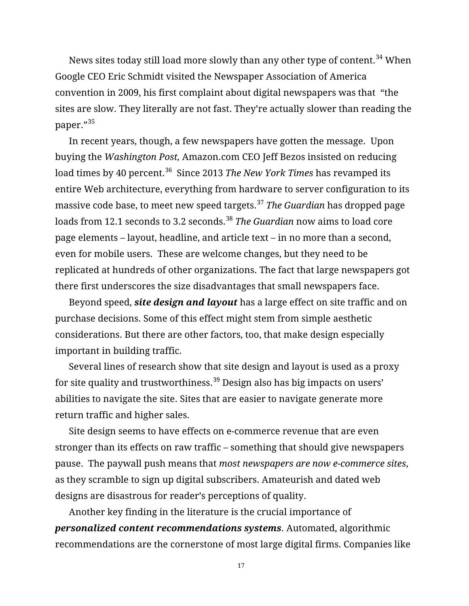News sites today still load more slowly than any other type of content.<sup>[34](#page-35-9)</sup> When Google CEO Eric Schmidt visited the Newspaper Association of America convention in 2009, his first complaint about digital newspapers was that "the sites are slow. They literally are not fast. They're actually slower than reading the paper."[35](#page-35-10)

In recent years, though, a few newspapers have gotten the message. Upon buying the *Washington Post,* Amazon.com CEO Jeff Bezos insisted on reducing load times by 40 percent.<sup>36</sup> Since 2013 *The New York Times* has revamped its entire Web architecture, everything from hardware to server configuration to its massive code base, to meet new speed targets.[37](#page-35-12) *The Guardian* has dropped page loads from 12.1 seconds to 3.2 seconds.<sup>[38](#page-35-13)</sup> *The Guardian* now aims to load core page elements – layout, headline, and article text – in no more than a second, even for mobile users. These are welcome changes, but they need to be replicated at hundreds of other organizations. The fact that large newspapers got there first underscores the size disadvantages that small newspapers face.

Beyond speed, *site design and layout* has a large effect on site traffic and on purchase decisions. Some of this effect might stem from simple aesthetic considerations. But there are other factors, too, that make design especially important in building traffic.

Several lines of research show that site design and layout is used as a proxy for site quality and trustworthiness. $^{\rm 39}$  $^{\rm 39}$  $^{\rm 39}$  Design also has big impacts on users' abilities to navigate the site. Sites that are easier to navigate generate more return traffic and higher sales.

Site design seems to have effects on e-commerce revenue that are even stronger than its effects on raw traffic – something that should give newspapers pause. The paywall push means that *most newspapers are now e-commerce sites*, as they scramble to sign up digital subscribers. Amateurish and dated web designs are disastrous for reader's perceptions of quality.

Another key finding in the literature is the crucial importance of *personalized content recommendations systems*. Automated, algorithmic recommendations are the cornerstone of most large digital firms. Companies like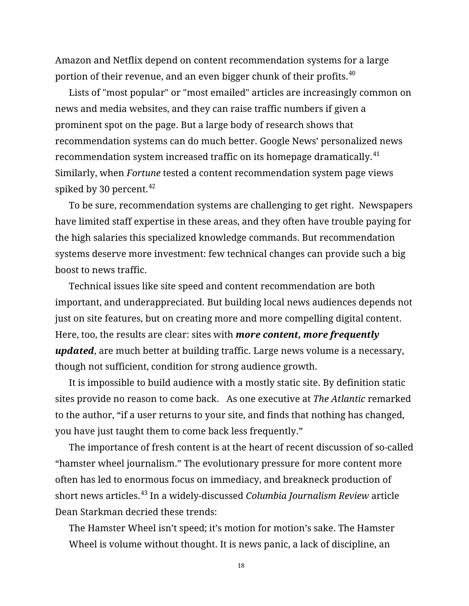Amazon and Netflix depend on content recommendation systems for a large portion of their revenue, and an even bigger chunk of their profits.<sup>[40](#page-36-0)</sup>

Lists of "most popular" or "most emailed" articles are increasingly common on news and media websites, and they can raise traffic numbers if given a prominent spot on the page. But a large body of research shows that recommendation systems can do much better. Google News' personalized news recommendation system increased traffic on its homepage dramatically.<sup>[41](#page-36-1)</sup> Similarly, when *Fortune* tested a content recommendation system page views spiked by 30 percent. $42$ 

To be sure, recommendation systems are challenging to get right. Newspapers have limited staff expertise in these areas, and they often have trouble paying for the high salaries this specialized knowledge commands. But recommendation systems deserve more investment: few technical changes can provide such a big boost to news traffic.

Technical issues like site speed and content recommendation are both important, and underappreciated. But building local news audiences depends not just on site features, but on creating more and more compelling digital content. Here, too, the results are clear: sites with *more content, more frequently updated*, are much better at building traffic. Large news volume is a necessary, though not sufficient, condition for strong audience growth.

It is impossible to build audience with a mostly static site. By definition static sites provide no reason to come back. As one executive at *The Atlantic* remarked to the author, "if a user returns to your site, and finds that nothing has changed, you have just taught them to come back less frequently."

The importance of fresh content is at the heart of recent discussion of so-called "hamster wheel journalism." The evolutionary pressure for more content more often has led to enormous focus on immediacy, and breakneck production of short news articles.[43](#page-36-3) In a widely-discussed *Columbia Journalism Review* article Dean Starkman decried these trends:

The Hamster Wheel isn't speed; it's motion for motion's sake. The Hamster Wheel is volume without thought. It is news panic, a lack of discipline, an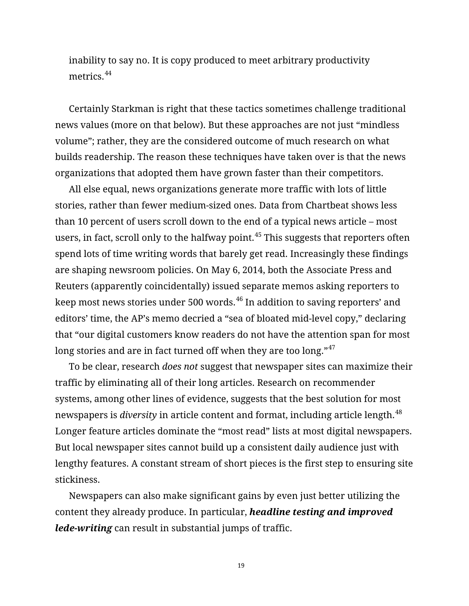inability to say no. It is copy produced to meet arbitrary productivity metrics.<sup>[44](#page-36-4)</sup>

Certainly Starkman is right that these tactics sometimes challenge traditional news values (more on that below). But these approaches are not just "mindless volume"; rather, they are the considered outcome of much research on what builds readership. The reason these techniques have taken over is that the news organizations that adopted them have grown faster than their competitors.

All else equal, news organizations generate more traffic with lots of little stories, rather than fewer medium-sized ones. Data from Chartbeat shows less than 10 percent of users scroll down to the end of a typical news article – most users, in fact, scroll only to the halfway point.<sup>[45](#page-36-5)</sup> This suggests that reporters often spend lots of time writing words that barely get read. Increasingly these findings are shaping newsroom policies. On May 6, 2014, both the Associate Press and Reuters (apparently coincidentally) issued separate memos asking reporters to keep most news stories under 500 words. $46$  In addition to saving reporters' and editors' time, the AP's memo decried a "sea of bloated mid-level copy," declaring that "our digital customers know readers do not have the attention span for most long stories and are in fact turned off when they are too long."<sup>[47](#page-36-7)</sup>

To be clear, research *does not* suggest that newspaper sites can maximize their traffic by eliminating all of their long articles. Research on recommender systems, among other lines of evidence, suggests that the best solution for most newspapers is *diversity* in article content and format, including article length.<sup>[48](#page-36-8)</sup> Longer feature articles dominate the "most read" lists at most digital newspapers. But local newspaper sites cannot build up a consistent daily audience just with lengthy features. A constant stream of short pieces is the first step to ensuring site stickiness.

Newspapers can also make significant gains by even just better utilizing the content they already produce. In particular, *headline testing and improved lede-writing* can result in substantial jumps of traffic.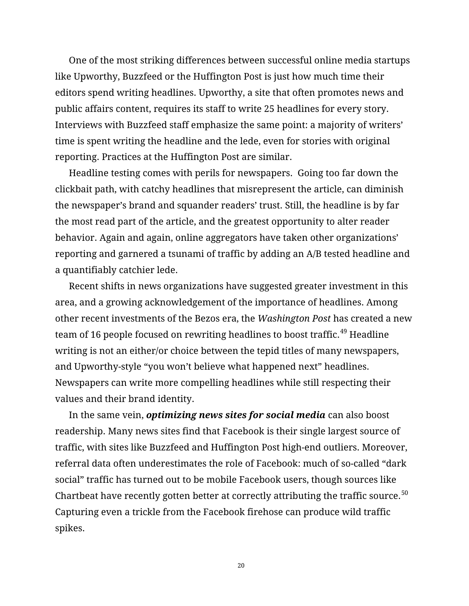One of the most striking differences between successful online media startups like Upworthy, Buzzfeed or the Huffington Post is just how much time their editors spend writing headlines. Upworthy, a site that often promotes news and public affairs content, requires its staff to write 25 headlines for every story. Interviews with Buzzfeed staff emphasize the same point: a majority of writers' time is spent writing the headline and the lede, even for stories with original reporting. Practices at the Huffington Post are similar.

Headline testing comes with perils for newspapers. Going too far down the clickbait path, with catchy headlines that misrepresent the article, can diminish the newspaper's brand and squander readers' trust. Still, the headline is by far the most read part of the article, and the greatest opportunity to alter reader behavior. Again and again, online aggregators have taken other organizations' reporting and garnered a tsunami of traffic by adding an A/B tested headline and a quantifiably catchier lede.

Recent shifts in news organizations have suggested greater investment in this area, and a growing acknowledgement of the importance of headlines. Among other recent investments of the Bezos era, the *Washington Post* has created a new team of 16 people focused on rewriting headlines to boost traffic.<sup>[49](#page-36-9)</sup> Headline writing is not an either/or choice between the tepid titles of many newspapers, and Upworthy-style "you won't believe what happened next" headlines. Newspapers can write more compelling headlines while still respecting their values and their brand identity.

In the same vein, *optimizing news sites for social media* can also boost readership. Many news sites find that Facebook is their single largest source of traffic, with sites like Buzzfeed and Huffington Post high-end outliers. Moreover, referral data often underestimates the role of Facebook: much of so-called "dark social" traffic has turned out to be mobile Facebook users, though sources like Chartbeat have recently gotten better at correctly attributing the traffic source. $^{\rm 50}$  $^{\rm 50}$  $^{\rm 50}$ Capturing even a trickle from the Facebook firehose can produce wild traffic spikes.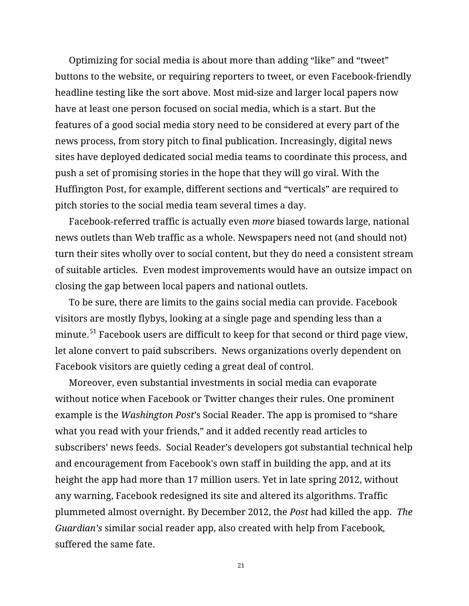Optimizing for social media is about more than adding "like" and "tweet" buttons to the website, or requiring reporters to tweet, or even Facebook-friendly headline testing like the sort above. Most mid-size and larger local papers now have at least one person focused on social media, which is a start. But the features of a good social media story need to be considered at every part of the news process, from story pitch to final publication. Increasingly, digital news sites have deployed dedicated social media teams to coordinate this process, and push a set of promising stories in the hope that they will go viral. With the Huffington Post, for example, different sections and "verticals" are required to pitch stories to the social media team several times a day.

Facebook-referred traffic is actually even *more* biased towards large, national news outlets than Web traffic as a whole. Newspapers need not (and should not) turn their sites wholly over to social content, but they do need a consistent stream of suitable articles. Even modest improvements would have an outsize impact on closing the gap between local papers and national outlets.

To be sure, there are limits to the gains social media can provide. Facebook visitors are mostly flybys, looking at a single page and spending less than a minute.<sup>[51](#page-36-11)</sup> Facebook users are difficult to keep for that second or third page view, let alone convert to paid subscribers. News organizations overly dependent on Facebook visitors are quietly ceding a great deal of control.

Moreover, even substantial investments in social media can evaporate without notice when Facebook or Twitter changes their rules. One prominent example is the *Washington Post*'s Social Reader. The app is promised to "share what you read with your friends," and it added recently read articles to subscribers' news feeds. Social Reader's developers got substantial technical help and encouragement from Facebook's own staff in building the app, and at its height the app had more than 17 million users. Yet in late spring 2012, without any warning, Facebook redesigned its site and altered its algorithms. Traffic plummeted almost overnight. By December 2012, the *Post* had killed the app. *The Guardian's* similar social reader app, also created with help from Facebook*,*  suffered the same fate.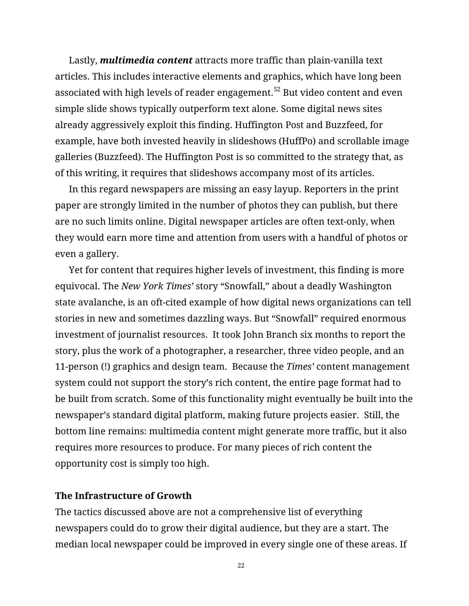Lastly, *multimedia content* attracts more traffic than plain-vanilla text articles. This includes interactive elements and graphics, which have long been associated with high levels of reader engagement. $^{52}$  $^{52}$  $^{52}$  But video content and even simple slide shows typically outperform text alone. Some digital news sites already aggressively exploit this finding. Huffington Post and Buzzfeed, for example, have both invested heavily in slideshows (HuffPo) and scrollable image galleries (Buzzfeed). The Huffington Post is so committed to the strategy that, as of this writing, it requires that slideshows accompany most of its articles.

In this regard newspapers are missing an easy layup. Reporters in the print paper are strongly limited in the number of photos they can publish, but there are no such limits online. Digital newspaper articles are often text-only, when they would earn more time and attention from users with a handful of photos or even a gallery.

Yet for content that requires higher levels of investment, this finding is more equivocal. The *New York Times'* story "Snowfall," about a deadly Washington state avalanche, is an oft-cited example of how digital news organizations can tell stories in new and sometimes dazzling ways. But "Snowfall" required enormous investment of journalist resources. It took John Branch six months to report the story, plus the work of a photographer, a researcher, three video people, and an 11-person (!) graphics and design team. Because the *Times'* content management system could not support the story's rich content, the entire page format had to be built from scratch. Some of this functionality might eventually be built into the newspaper's standard digital platform, making future projects easier. Still, the bottom line remains: multimedia content might generate more traffic, but it also requires more resources to produce. For many pieces of rich content the opportunity cost is simply too high.

#### **The Infrastructure of Growth**

The tactics discussed above are not a comprehensive list of everything newspapers could do to grow their digital audience, but they are a start. The median local newspaper could be improved in every single one of these areas. If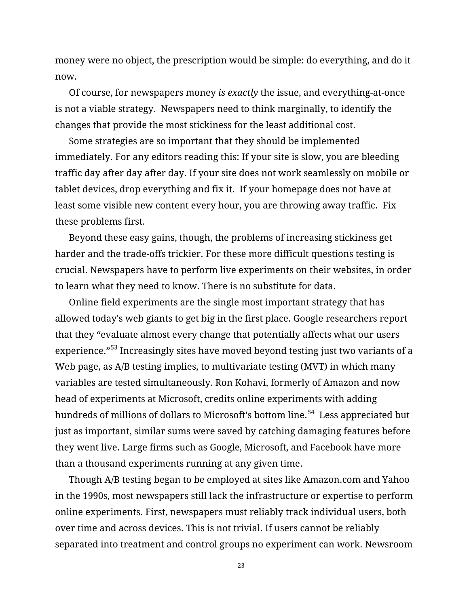money were no object, the prescription would be simple: do everything, and do it now.

Of course, for newspapers money *is exactly* the issue, and everything-at-once is not a viable strategy. Newspapers need to think marginally, to identify the changes that provide the most stickiness for the least additional cost.

Some strategies are so important that they should be implemented immediately. For any editors reading this: If your site is slow, you are bleeding traffic day after day after day. If your site does not work seamlessly on mobile or tablet devices, drop everything and fix it. If your homepage does not have at least some visible new content every hour, you are throwing away traffic. Fix these problems first.

Beyond these easy gains, though, the problems of increasing stickiness get harder and the trade-offs trickier. For these more difficult questions testing is crucial. Newspapers have to perform live experiments on their websites, in order to learn what they need to know. There is no substitute for data.

Online field experiments are the single most important strategy that has allowed today's web giants to get big in the first place. Google researchers report that they "evaluate almost every change that potentially affects what our users experience."[53](#page-36-13) Increasingly sites have moved beyond testing just two variants of a Web page, as A/B testing implies, to multivariate testing (MVT) in which many variables are tested simultaneously. Ron Kohavi, formerly of Amazon and now head of experiments at Microsoft, credits online experiments with adding hundreds of millions of dollars to Microsoft's bottom line.<sup>[54](#page-37-0)</sup> Less appreciated but just as important, similar sums were saved by catching damaging features before they went live. Large firms such as Google, Microsoft, and Facebook have more than a thousand experiments running at any given time.

Though A/B testing began to be employed at sites like Amazon.com and Yahoo in the 1990s, most newspapers still lack the infrastructure or expertise to perform online experiments. First, newspapers must reliably track individual users, both over time and across devices. This is not trivial. If users cannot be reliably separated into treatment and control groups no experiment can work. Newsroom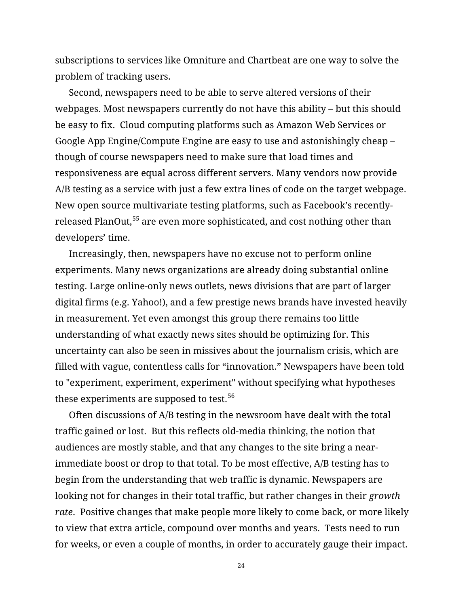subscriptions to services like Omniture and Chartbeat are one way to solve the problem of tracking users.

Second, newspapers need to be able to serve altered versions of their webpages. Most newspapers currently do not have this ability – but this should be easy to fix. Cloud computing platforms such as Amazon Web Services or Google App Engine/Compute Engine are easy to use and astonishingly cheap – though of course newspapers need to make sure that load times and responsiveness are equal across different servers. Many vendors now provide A/B testing as a service with just a few extra lines of code on the target webpage. New open source multivariate testing platforms, such as Facebook's recentlyreleased PlanOut, $^{\rm 55}$  $^{\rm 55}$  $^{\rm 55}$  are even more sophisticated, and cost nothing other than developers' time.

Increasingly, then, newspapers have no excuse not to perform online experiments. Many news organizations are already doing substantial online testing. Large online-only news outlets, news divisions that are part of larger digital firms (e.g. Yahoo!), and a few prestige news brands have invested heavily in measurement. Yet even amongst this group there remains too little understanding of what exactly news sites should be optimizing for. This uncertainty can also be seen in missives about the journalism crisis, which are filled with vague, contentless calls for "innovation." Newspapers have been told to "experiment, experiment, experiment" without specifying what hypotheses these experiments are supposed to test. $^{\rm 56}$  $^{\rm 56}$  $^{\rm 56}$ 

Often discussions of A/B testing in the newsroom have dealt with the total traffic gained or lost. But this reflects old-media thinking, the notion that audiences are mostly stable, and that any changes to the site bring a nearimmediate boost or drop to that total. To be most effective, A/B testing has to begin from the understanding that web traffic is dynamic. Newspapers are looking not for changes in their total traffic, but rather changes in their *growth rate*. Positive changes that make people more likely to come back, or more likely to view that extra article, compound over months and years. Tests need to run for weeks, or even a couple of months, in order to accurately gauge their impact.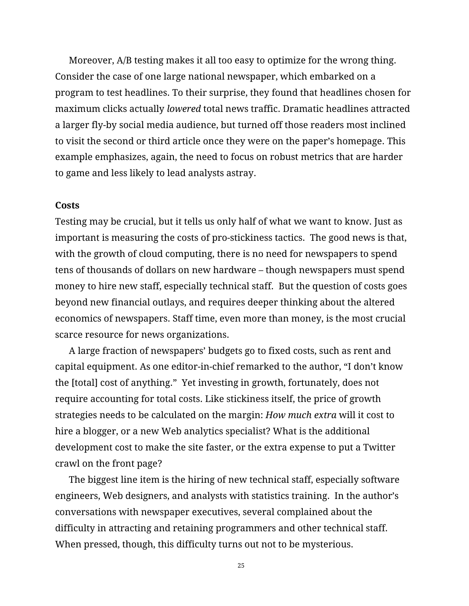Moreover, A/B testing makes it all too easy to optimize for the wrong thing. Consider the case of one large national newspaper, which embarked on a program to test headlines. To their surprise, they found that headlines chosen for maximum clicks actually *lowered* total news traffic. Dramatic headlines attracted a larger fly-by social media audience, but turned off those readers most inclined to visit the second or third article once they were on the paper's homepage. This example emphasizes, again, the need to focus on robust metrics that are harder to game and less likely to lead analysts astray.

#### **Costs**

Testing may be crucial, but it tells us only half of what we want to know. Just as important is measuring the costs of pro-stickiness tactics. The good news is that, with the growth of cloud computing, there is no need for newspapers to spend tens of thousands of dollars on new hardware – though newspapers must spend money to hire new staff, especially technical staff. But the question of costs goes beyond new financial outlays, and requires deeper thinking about the altered economics of newspapers. Staff time, even more than money, is the most crucial scarce resource for news organizations.

A large fraction of newspapers' budgets go to fixed costs, such as rent and capital equipment. As one editor-in-chief remarked to the author, "I don't know the [total] cost of anything." Yet investing in growth, fortunately, does not require accounting for total costs. Like stickiness itself, the price of growth strategies needs to be calculated on the margin: *How much extra* will it cost to hire a blogger, or a new Web analytics specialist? What is the additional development cost to make the site faster, or the extra expense to put a Twitter crawl on the front page?

The biggest line item is the hiring of new technical staff, especially software engineers, Web designers, and analysts with statistics training. In the author's conversations with newspaper executives, several complained about the difficulty in attracting and retaining programmers and other technical staff. When pressed, though, this difficulty turns out not to be mysterious.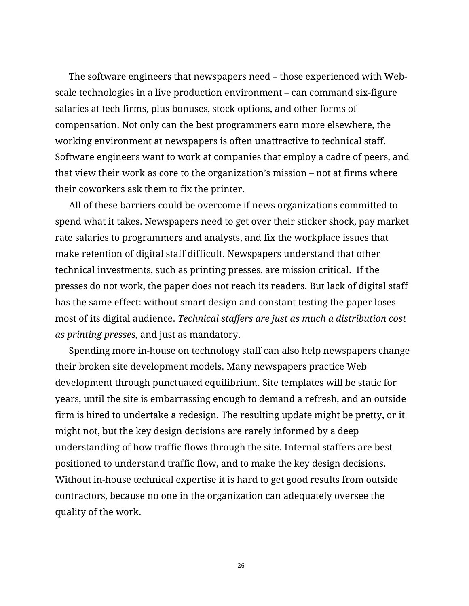The software engineers that newspapers need – those experienced with Webscale technologies in a live production environment – can command six-figure salaries at tech firms, plus bonuses, stock options, and other forms of compensation. Not only can the best programmers earn more elsewhere, the working environment at newspapers is often unattractive to technical staff. Software engineers want to work at companies that employ a cadre of peers, and that view their work as core to the organization's mission – not at firms where their coworkers ask them to fix the printer.

All of these barriers could be overcome if news organizations committed to spend what it takes. Newspapers need to get over their sticker shock, pay market rate salaries to programmers and analysts, and fix the workplace issues that make retention of digital staff difficult. Newspapers understand that other technical investments, such as printing presses, are mission critical. If the presses do not work, the paper does not reach its readers. But lack of digital staff has the same effect: without smart design and constant testing the paper loses most of its digital audience. *Technical staffers are just as much a distribution cost as printing presses,* and just as mandatory.

Spending more in-house on technology staff can also help newspapers change their broken site development models. Many newspapers practice Web development through punctuated equilibrium. Site templates will be static for years, until the site is embarrassing enough to demand a refresh, and an outside firm is hired to undertake a redesign. The resulting update might be pretty, or it might not, but the key design decisions are rarely informed by a deep understanding of how traffic flows through the site. Internal staffers are best positioned to understand traffic flow, and to make the key design decisions. Without in-house technical expertise it is hard to get good results from outside contractors, because no one in the organization can adequately oversee the quality of the work.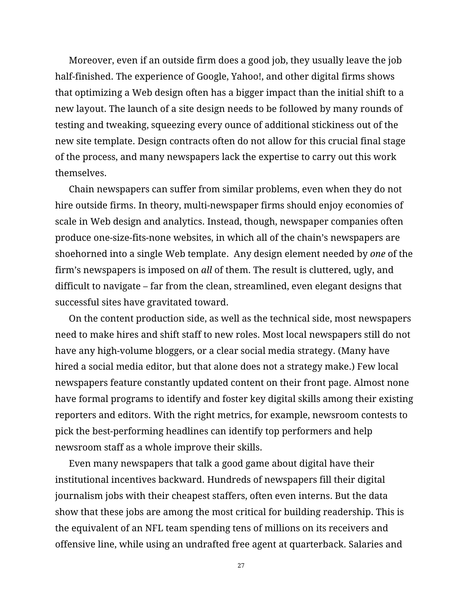Moreover, even if an outside firm does a good job, they usually leave the job half-finished. The experience of Google, Yahoo!, and other digital firms shows that optimizing a Web design often has a bigger impact than the initial shift to a new layout. The launch of a site design needs to be followed by many rounds of testing and tweaking, squeezing every ounce of additional stickiness out of the new site template. Design contracts often do not allow for this crucial final stage of the process, and many newspapers lack the expertise to carry out this work themselves.

Chain newspapers can suffer from similar problems, even when they do not hire outside firms. In theory, multi-newspaper firms should enjoy economies of scale in Web design and analytics. Instead, though, newspaper companies often produce one-size-fits-none websites, in which all of the chain's newspapers are shoehorned into a single Web template. Any design element needed by *one* of the firm's newspapers is imposed on *all* of them. The result is cluttered, ugly, and difficult to navigate – far from the clean, streamlined, even elegant designs that successful sites have gravitated toward.

On the content production side, as well as the technical side, most newspapers need to make hires and shift staff to new roles. Most local newspapers still do not have any high-volume bloggers, or a clear social media strategy. (Many have hired a social media editor, but that alone does not a strategy make.) Few local newspapers feature constantly updated content on their front page. Almost none have formal programs to identify and foster key digital skills among their existing reporters and editors. With the right metrics, for example, newsroom contests to pick the best-performing headlines can identify top performers and help newsroom staff as a whole improve their skills.

Even many newspapers that talk a good game about digital have their institutional incentives backward. Hundreds of newspapers fill their digital journalism jobs with their cheapest staffers, often even interns. But the data show that these jobs are among the most critical for building readership. This is the equivalent of an NFL team spending tens of millions on its receivers and offensive line, while using an undrafted free agent at quarterback. Salaries and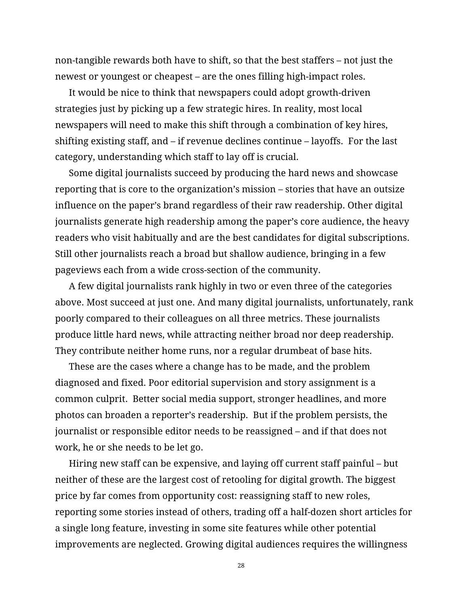non-tangible rewards both have to shift, so that the best staffers – not just the newest or youngest or cheapest – are the ones filling high-impact roles.

It would be nice to think that newspapers could adopt growth-driven strategies just by picking up a few strategic hires. In reality, most local newspapers will need to make this shift through a combination of key hires, shifting existing staff, and – if revenue declines continue – layoffs. For the last category, understanding which staff to lay off is crucial.

Some digital journalists succeed by producing the hard news and showcase reporting that is core to the organization's mission – stories that have an outsize influence on the paper's brand regardless of their raw readership. Other digital journalists generate high readership among the paper's core audience, the heavy readers who visit habitually and are the best candidates for digital subscriptions. Still other journalists reach a broad but shallow audience, bringing in a few pageviews each from a wide cross-section of the community.

A few digital journalists rank highly in two or even three of the categories above. Most succeed at just one. And many digital journalists, unfortunately, rank poorly compared to their colleagues on all three metrics. These journalists produce little hard news, while attracting neither broad nor deep readership. They contribute neither home runs, nor a regular drumbeat of base hits.

These are the cases where a change has to be made, and the problem diagnosed and fixed. Poor editorial supervision and story assignment is a common culprit. Better social media support, stronger headlines, and more photos can broaden a reporter's readership. But if the problem persists, the journalist or responsible editor needs to be reassigned – and if that does not work, he or she needs to be let go.

Hiring new staff can be expensive, and laying off current staff painful – but neither of these are the largest cost of retooling for digital growth. The biggest price by far comes from opportunity cost: reassigning staff to new roles, reporting some stories instead of others, trading off a half-dozen short articles for a single long feature, investing in some site features while other potential improvements are neglected. Growing digital audiences requires the willingness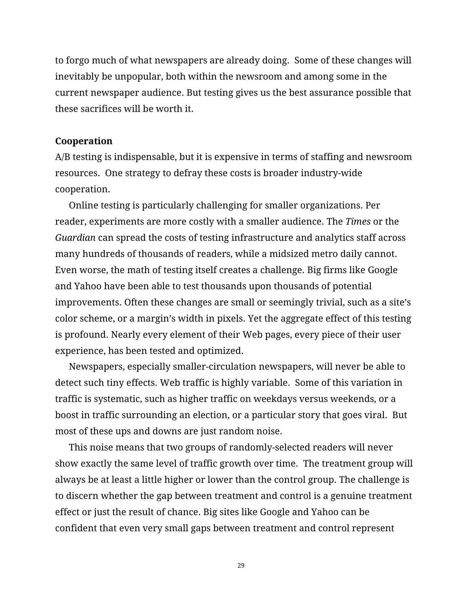to forgo much of what newspapers are already doing. Some of these changes will inevitably be unpopular, both within the newsroom and among some in the current newspaper audience. But testing gives us the best assurance possible that these sacrifices will be worth it.

#### **Cooperation**

A/B testing is indispensable, but it is expensive in terms of staffing and newsroom resources. One strategy to defray these costs is broader industry-wide cooperation.

Online testing is particularly challenging for smaller organizations. Per reader, experiments are more costly with a smaller audience. The *Times* or the *Guardian* can spread the costs of testing infrastructure and analytics staff across many hundreds of thousands of readers, while a midsized metro daily cannot. Even worse, the math of testing itself creates a challenge. Big firms like Google and Yahoo have been able to test thousands upon thousands of potential improvements. Often these changes are small or seemingly trivial, such as a site's color scheme, or a margin's width in pixels. Yet the aggregate effect of this testing is profound. Nearly every element of their Web pages, every piece of their user experience, has been tested and optimized.

Newspapers, especially smaller-circulation newspapers, will never be able to detect such tiny effects. Web traffic is highly variable. Some of this variation in traffic is systematic, such as higher traffic on weekdays versus weekends, or a boost in traffic surrounding an election, or a particular story that goes viral. But most of these ups and downs are just random noise.

This noise means that two groups of randomly-selected readers will never show exactly the same level of traffic growth over time. The treatment group will always be at least a little higher or lower than the control group. The challenge is to discern whether the gap between treatment and control is a genuine treatment effect or just the result of chance. Big sites like Google and Yahoo can be confident that even very small gaps between treatment and control represent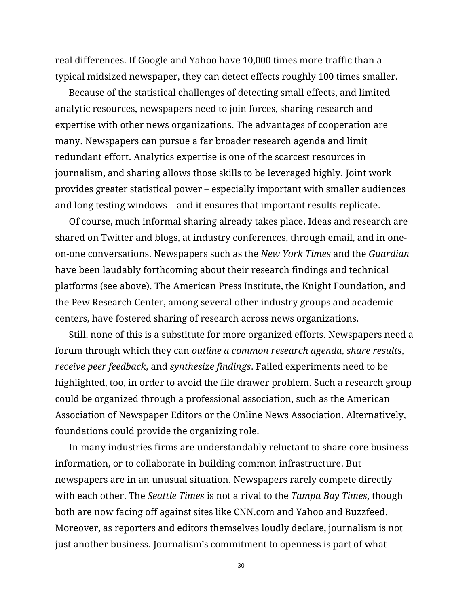real differences. If Google and Yahoo have 10,000 times more traffic than a typical midsized newspaper, they can detect effects roughly 100 times smaller.

Because of the statistical challenges of detecting small effects, and limited analytic resources, newspapers need to join forces, sharing research and expertise with other news organizations. The advantages of cooperation are many. Newspapers can pursue a far broader research agenda and limit redundant effort. Analytics expertise is one of the scarcest resources in journalism, and sharing allows those skills to be leveraged highly. Joint work provides greater statistical power – especially important with smaller audiences and long testing windows – and it ensures that important results replicate.

Of course, much informal sharing already takes place. Ideas and research are shared on Twitter and blogs, at industry conferences, through email, and in oneon-one conversations. Newspapers such as the *New York Times* and the *Guardian* have been laudably forthcoming about their research findings and technical platforms (see above). The American Press Institute, the Knight Foundation, and the Pew Research Center, among several other industry groups and academic centers, have fostered sharing of research across news organizations.

Still, none of this is a substitute for more organized efforts. Newspapers need a forum through which they can *outline a common research agenda*, *share results*, *receive peer feedback*, and *synthesize findings*. Failed experiments need to be highlighted, too, in order to avoid the file drawer problem. Such a research group could be organized through a professional association, such as the American Association of Newspaper Editors or the Online News Association. Alternatively, foundations could provide the organizing role.

In many industries firms are understandably reluctant to share core business information, or to collaborate in building common infrastructure. But newspapers are in an unusual situation. Newspapers rarely compete directly with each other. The *Seattle Times* is not a rival to the *Tampa Bay Times*, though both are now facing off against sites like CNN.com and Yahoo and Buzzfeed. Moreover, as reporters and editors themselves loudly declare, journalism is not just another business. Journalism's commitment to openness is part of what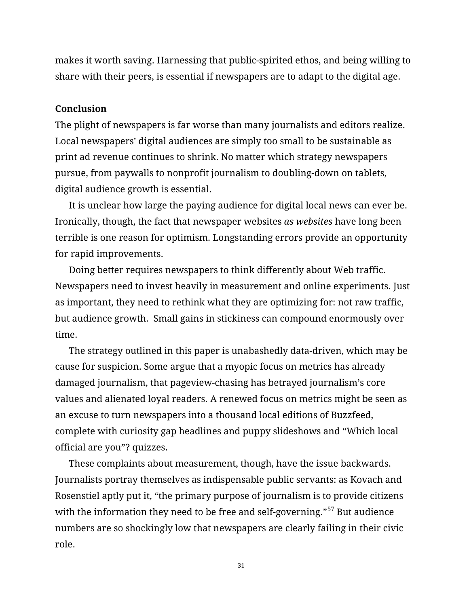makes it worth saving. Harnessing that public-spirited ethos, and being willing to share with their peers, is essential if newspapers are to adapt to the digital age.

### **Conclusion**

The plight of newspapers is far worse than many journalists and editors realize. Local newspapers' digital audiences are simply too small to be sustainable as print ad revenue continues to shrink. No matter which strategy newspapers pursue, from paywalls to nonprofit journalism to doubling-down on tablets, digital audience growth is essential.

It is unclear how large the paying audience for digital local news can ever be. Ironically, though, the fact that newspaper websites *as websites* have long been terrible is one reason for optimism. Longstanding errors provide an opportunity for rapid improvements.

Doing better requires newspapers to think differently about Web traffic. Newspapers need to invest heavily in measurement and online experiments. Just as important, they need to rethink what they are optimizing for: not raw traffic, but audience growth. Small gains in stickiness can compound enormously over time.

The strategy outlined in this paper is unabashedly data-driven, which may be cause for suspicion. Some argue that a myopic focus on metrics has already damaged journalism, that pageview-chasing has betrayed journalism's core values and alienated loyal readers. A renewed focus on metrics might be seen as an excuse to turn newspapers into a thousand local editions of Buzzfeed, complete with curiosity gap headlines and puppy slideshows and "Which local official are you"? quizzes.

These complaints about measurement, though, have the issue backwards. Journalists portray themselves as indispensable public servants: as Kovach and Rosenstiel aptly put it, "the primary purpose of journalism is to provide citizens with the information they need to be free and self-governing."<sup>[57](#page-37-3)</sup> But audience numbers are so shockingly low that newspapers are clearly failing in their civic role.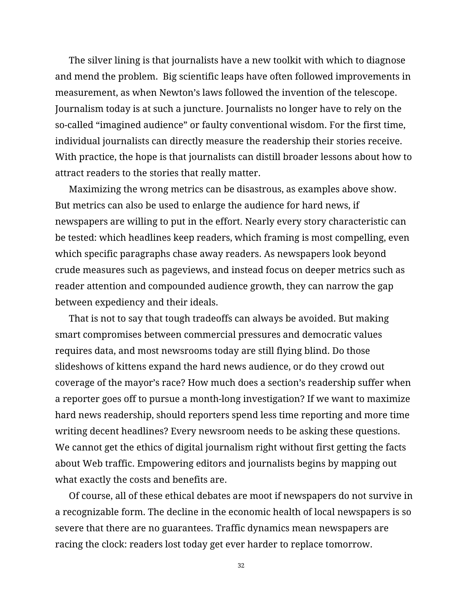The silver lining is that journalists have a new toolkit with which to diagnose and mend the problem. Big scientific leaps have often followed improvements in measurement, as when Newton's laws followed the invention of the telescope. Journalism today is at such a juncture. Journalists no longer have to rely on the so-called "imagined audience" or faulty conventional wisdom. For the first time, individual journalists can directly measure the readership their stories receive. With practice, the hope is that journalists can distill broader lessons about how to attract readers to the stories that really matter.

Maximizing the wrong metrics can be disastrous, as examples above show. But metrics can also be used to enlarge the audience for hard news, if newspapers are willing to put in the effort. Nearly every story characteristic can be tested: which headlines keep readers, which framing is most compelling, even which specific paragraphs chase away readers. As newspapers look beyond crude measures such as pageviews, and instead focus on deeper metrics such as reader attention and compounded audience growth, they can narrow the gap between expediency and their ideals.

That is not to say that tough tradeoffs can always be avoided. But making smart compromises between commercial pressures and democratic values requires data, and most newsrooms today are still flying blind. Do those slideshows of kittens expand the hard news audience, or do they crowd out coverage of the mayor's race? How much does a section's readership suffer when a reporter goes off to pursue a month-long investigation? If we want to maximize hard news readership, should reporters spend less time reporting and more time writing decent headlines? Every newsroom needs to be asking these questions. We cannot get the ethics of digital journalism right without first getting the facts about Web traffic. Empowering editors and journalists begins by mapping out what exactly the costs and benefits are.

Of course, all of these ethical debates are moot if newspapers do not survive in a recognizable form. The decline in the economic health of local newspapers is so severe that there are no guarantees. Traffic dynamics mean newspapers are racing the clock: readers lost today get ever harder to replace tomorrow.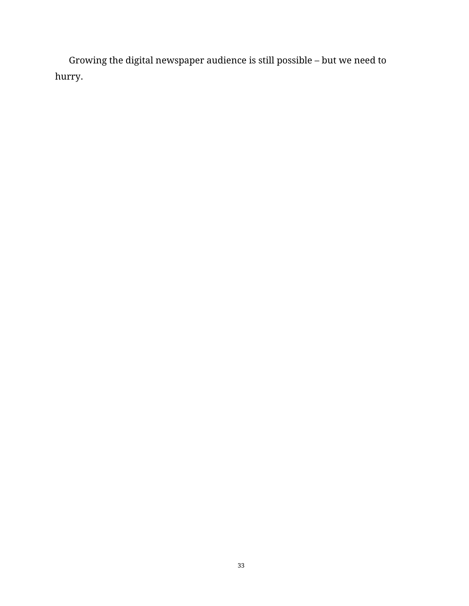Growing the digital newspaper audience is still possible – but we need to hurry.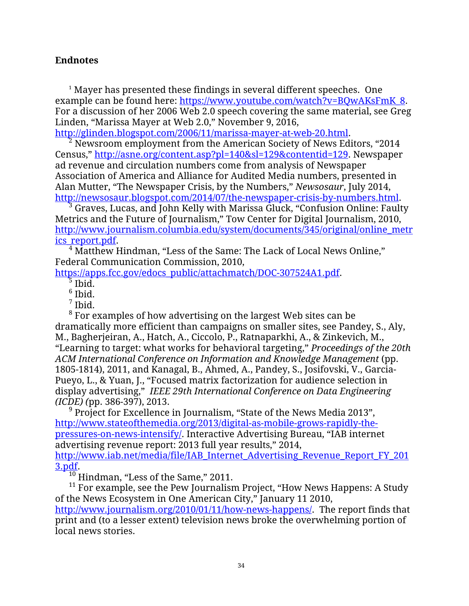# **Endnotes**

<span id="page-33-0"></span> $1$  Mayer has presented these findings in several different speeches. One example can be found here: https://www.youtube.com/watch?v=BQwAKsFmK 8. For a discussion of her 2006 Web 2.0 speech covering the same material, see Greg Linden, "Marissa Mayer at Web 2.0," November 9, 2016,

<span id="page-33-1"></span>[http://glinden.blogspot.com/2006/11/marissa-mayer-at-web-20.html.](http://glinden.blogspot.com/2006/11/marissa-mayer-at-web-20.html) [2](http://glinden.blogspot.com/2006/11/marissa-mayer-at-web-20.html) Newsroom employment from the American Society of News Editors, "2014 Census," [http://asne.org/content.asp?pl=140&sl=129&contentid=129.](http://asne.org/content.asp?pl=140&sl=129&contentid=129) Newspaper ad revenue and circulation numbers come from analysis of Newspaper Association of America and Alliance for Audited Media numbers, presented in Alan Mutter, "The Newspaper Crisis, by the Numbers," *Newsosaur*, July 2014, [http://newsosaur.blogspot.com/2014/07/the-newspaper-crisis-by-numbers.html.](http://newsosaur.blogspot.com/2014/07/the-newspaper-crisis-by-numbers.html) [3](http://newsosaur.blogspot.com/2014/07/the-newspaper-crisis-by-numbers.html) Graves, Lucas, and John Kelly with Marissa Gluck, "Confusion Online: Faulty

<span id="page-33-2"></span>Metrics and the Future of Journalism," Tow Center for Digital Journalism, 2010, [http://www.journalism.columbia.edu/system/documents/345/original/online\\_metr](http://www.journalism.columbia.edu/system/documents/345/original/online_metrics_report.pdf) [ics\\_report.pdf.](http://www.journalism.columbia.edu/system/documents/345/original/online_metrics_report.pdf)<br><sup>4</sup> Matthew Hindman, "Less of the Same: The Lack of Local News Online,"

<span id="page-33-3"></span>Federal Communication Commission, 2010,

<span id="page-33-4"></span>[https://apps.fcc.gov/edocs\\_public/attachmatch/DOC-307524A1.pdf.](https://apps.fcc.gov/edocs_public/attachmatch/DOC-307524A1.pdf) [5](https://apps.fcc.gov/edocs_public/attachmatch/DOC-307524A1.pdf) Ibid.

 $6$  Ibid.

 $^7$  Ibid.

<span id="page-33-7"></span><span id="page-33-6"></span><span id="page-33-5"></span> $8$  For examples of how advertising on the largest Web sites can be dramatically more efficient than campaigns on smaller sites, see Pandey, S., Aly, M., Bagherjeiran, A., Hatch, A., Ciccolo, P., Ratnaparkhi, A., & Zinkevich, M., "Learning to target: what works for behavioral targeting," *Proceedings of the 20th ACM International Conference on Information and Knowledge Management* (pp. 1805-1814), 2011, and Kanagal, B., Ahmed, A., Pandey, S., Josifovski, V., Garcia-Pueyo, L., & Yuan, J., "Focused matrix factorization for audience selection in display advertising," *IEEE 29th International Conference on Data Engineering (ICDE) (*pp. 386-397), 2013.

<span id="page-33-8"></span><sup>9</sup> Project for Excellence in Journalism, "State of the News Media 2013", [http://www.stateofthemedia.org/2013/digital-as-mobile-grows-rapidly-the](http://www.stateofthemedia.org/2013/digital-as-mobile-grows-rapidly-the-pressures-on-news-intensify/)[pressures-on-news-intensify/.](http://www.stateofthemedia.org/2013/digital-as-mobile-grows-rapidly-the-pressures-on-news-intensify/) Interactive Advertising Bureau, "IAB internet advertising revenue report: 2013 full year results," 2014, [http://www.iab.net/media/file/IAB\\_Internet\\_Advertising\\_Revenue\\_Report\\_FY\\_201](http://www.iab.net/media/file/IAB_Internet_Advertising_Revenue_Report_FY_2013.pdf)  $\frac{3. \text{pdf}}{10}$  $\frac{3. \text{pdf}}{10}$  $\frac{3. \text{pdf}}{10}$  Hindman, "Less of the Same," 2011.

<span id="page-33-10"></span><span id="page-33-9"></span> $11$  For example, see the Pew Journalism Project, "How News Happens: A Study of the News Ecosystem in One American City," January 11 2010, [http://www.journalism.org/2010/01/11/how-news-happens/.](http://www.journalism.org/2010/01/11/how-news-happens/) The report finds that print and (to a lesser extent) television news broke the overwhelming portion of local news stories.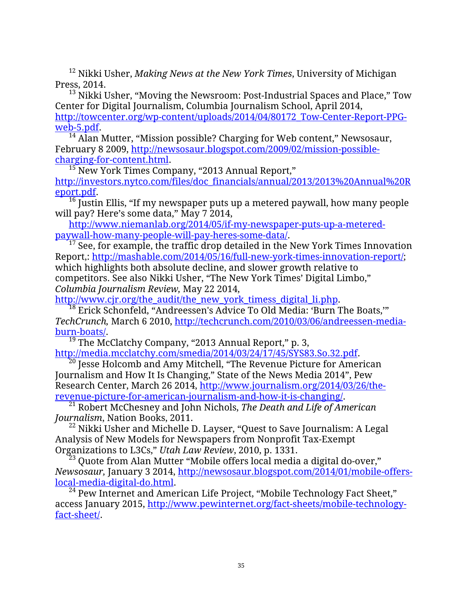<span id="page-34-0"></span><sup>12</sup> Nikki Usher, *Making News at the New York Times*, University of Michigan Press, 2014.

<span id="page-34-1"></span> $^{13}$  Nikki Usher, "Moving the Newsroom: Post-Industrial Spaces and Place," Tow Center for Digital Journalism, Columbia Journalism School, April 2014, [http://towcenter.org/wp-content/uploads/2014/04/80172\\_Tow-Center-Report-PPG-](http://towcenter.org/wp-content/uploads/2014/04/80172_Tow-Center-Report-PPG-web-5.pdf)

<span id="page-34-2"></span>[web-5.pdf.](http://towcenter.org/wp-content/uploads/2014/04/80172_Tow-Center-Report-PPG-web-5.pdf) [14](http://towcenter.org/wp-content/uploads/2014/04/80172_Tow-Center-Report-PPG-web-5.pdf) Alan Mutter, "Mission possible? Charging for Web content," Newsosaur, February 8 2009, [http://newsosaur.blogspot.com/2009/02/mission-possible-](http://newsosaur.blogspot.com/2009/02/mission-possible-charging-for-content.html)

<span id="page-34-3"></span>[charging-for-content.html.](http://newsosaur.blogspot.com/2009/02/mission-possible-charging-for-content.html) [15](http://newsosaur.blogspot.com/2009/02/mission-possible-charging-for-content.html) New York Times Company, "2013 Annual Report," [http://investors.nytco.com/files/doc\\_financials/annual/2013/2013%20Annual%20R](http://investors.nytco.com/files/doc_financials/annual/2013/2013%20Annual%20Report.pdf)

<span id="page-34-4"></span>[eport.pdf.](http://investors.nytco.com/files/doc_financials/annual/2013/2013%20Annual%20Report.pdf) <sup>16</sup> Justin Ellis, "If my newspaper puts up a metered paywall, how many people will pay? Here's some data," May 7 2014,

[http://www.niemanlab.org/2014/05/if-my-newspaper-puts-up-a-metered](http://www.niemanlab.org/2014/05/if-my-newspaper-puts-up-a-metered-paywall-how-many-people-will-pay-heres-some-data/)[paywall-how-many-people-will-pay-heres-some-data/.](http://www.niemanlab.org/2014/05/if-my-newspaper-puts-up-a-metered-paywall-how-many-people-will-pay-heres-some-data/) <sup>17</sup> See, for example, the traffic drop detailed in the New York Times Innovation

<span id="page-34-5"></span>Report,: [http://mashable.com/2014/05/16/full-new-york-times-innovation-report/;](http://mashable.com/2014/05/16/full-new-york-times-innovation-report/) which highlights both absolute decline, and slower growth relative to competitors. See also Nikki Usher, "The New York Times' Digital Limbo," *Columbia Journalism Review,* May 22 2014,

<span id="page-34-6"></span> $^{18}$  $^{18}$  $^{18}$  Erick Schonfeld, "Andreessen's Advice To Old Media: 'Burn The Boats,'" *TechCrunch,* March 6 2010, [http://techcrunch.com/2010/03/06/andreessen-media-](http://techcrunch.com/2010/03/06/andreessen-media-burn-boats/)

<span id="page-34-7"></span>[burn-boats/.](http://techcrunch.com/2010/03/06/andreessen-media-burn-boats/) [19](http://techcrunch.com/2010/03/06/andreessen-media-burn-boats/) The McClatchy Company, "2013 Annual Report," p. 3, [http://media.mcclatchy.com/smedia/2014/03/24/17/45/SYS83.So.32.pdf.](http://media.mcclatchy.com/smedia/2014/03/24/17/45/SYS83.So.32.pdf) <sup>20</sup> Jesse Holcomb and Amy Mitchell, "The Revenue Picture for American

<span id="page-34-8"></span>Journalism and How It Is Changing," State of the News Media 2014", Pew Research Center, March 26 2014, [http://www.journalism.org/2014/03/26/the](http://www.journalism.org/2014/03/26/the-revenue-picture-for-american-journalism-and-how-it-is-changing/)[revenue-picture-for-american-journalism-and-how-it-is-changing/.](http://www.journalism.org/2014/03/26/the-revenue-picture-for-american-journalism-and-how-it-is-changing/) <sup>21</sup> Robert McChesney and John Nichols, *The Death and Life of American* 

<span id="page-34-9"></span>*Journalism*, Nation Books, 2011.

<span id="page-34-10"></span> $^{22}$  Nikki Usher and Michelle D. Layser, "Quest to Save Journalism: A Legal Analysis of New Models for Newspapers from Nonprofit Tax-Exempt

<span id="page-34-11"></span>Organizations to L3Cs," *Utah Law Review*, 2010, p. 1331. <sup>23</sup> Quote from Alan Mutter "Mobile offers local media a digital do-over," *Newsosaur,* January 3 2014, [http://newsosaur.blogspot.com/2014/01/mobile-offers](http://newsosaur.blogspot.com/2014/01/mobile-offers-local-media-digital-do.html)[local-media-digital-do.html.](http://newsosaur.blogspot.com/2014/01/mobile-offers-local-media-digital-do.html) <sup>24</sup> Pew Internet and American Life Project, "Mobile Technology Fact Sheet,"

<span id="page-34-12"></span>access January 2015, [http://www.pewinternet.org/fact-sheets/mobile-technology](http://www.pewinternet.org/fact-sheets/mobile-technology-fact-sheet/)[fact-sheet/.](http://www.pewinternet.org/fact-sheets/mobile-technology-fact-sheet/)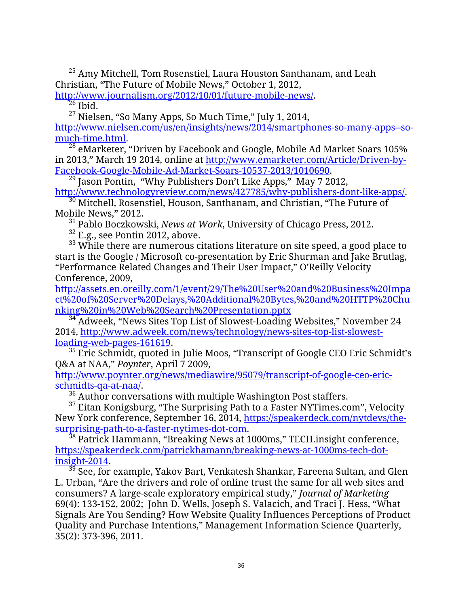<span id="page-35-0"></span> $25$  Amy Mitchell, Tom Rosenstiel, Laura Houston Santhanam, and Leah Christian, "The Future of Mobile News," October 1, 2012,

[http://www.journalism.org/2012/10/01/future-mobile-news/.](http://www.journalism.org/2012/10/01/future-mobile-news/) <sup>26</sup> Ibid.

<span id="page-35-2"></span><span id="page-35-1"></span><sup>27</sup> Nielsen, "So Many Apps, So Much Time," July 1, 2014, [http://www.nielsen.com/us/en/insights/news/2014/smartphones-so-many-apps--so](http://www.nielsen.com/us/en/insights/news/2014/smartphones-so-many-apps--so-much-time.html)[much-time.html.](http://www.nielsen.com/us/en/insights/news/2014/smartphones-so-many-apps--so-much-time.html) [28](http://www.nielsen.com/us/en/insights/news/2014/smartphones-so-many-apps--so-much-time.html) eMarketer, "Driven by Facebook and Google, Mobile Ad Market Soars 105%

<span id="page-35-3"></span>in 2013," March 19 2014, online at [http://www.emarketer.com/Article/Driven-by-](http://www.emarketer.com/Article/Driven-by-Facebook-Google-Mobile-Ad-Market-Soars-10537-2013/1010690)

[Facebook-Google-Mobile-Ad-Market-Soars-10537-2013/1010690.](http://www.emarketer.com/Article/Driven-by-Facebook-Google-Mobile-Ad-Market-Soars-10537-2013/1010690) [29](http://www.emarketer.com/Article/Driven-by-Facebook-Google-Mobile-Ad-Market-Soars-10537-2013/1010690) Jason Pontin, "Why Publishers Don't Like Apps," May 7 2012,

<span id="page-35-4"></span>[http://www.technologyreview.com/news/427785/why-publishers-dont-like-apps/.](http://www.technologyreview.com/news/427785/why-publishers-dont-like-apps/) <sup>30</sup> Mitchell, Rosenstiel, Houson, Santhanam, and Christian, "The Future of

<span id="page-35-5"></span>Mobile News," 2012.<br><sup>31</sup> Pablo Boczkowski, *News at Work*, University of Chicago Press, 2012.

<span id="page-35-8"></span><span id="page-35-7"></span><span id="page-35-6"></span><sup>32</sup> E.g., see Pontin 2012, above.<br><sup>33</sup> While there are numerous citations literature on site speed, a good place to start is the Google / Microsoft co-presentation by Eric Shurman and Jake Brutlag, "Performance Related Changes and Their User Impact," O'Reilly Velocity Conference, 2009,

[http://assets.en.oreilly.com/1/event/29/The%20User%20and%20Business%20Impa](http://assets.en.oreilly.com/1/event/29/The%20User%20and%20Business%20Impact%20of%20Server%20Delays,%20Additional%20Bytes,%20and%20HTTP%20Chunking%20in%20Web%20Search%20Presentation.pptx) [ct%20of%20Server%20Delays,%20Additional%20Bytes,%20and%20HTTP%20Chu](http://assets.en.oreilly.com/1/event/29/The%20User%20and%20Business%20Impact%20of%20Server%20Delays,%20Additional%20Bytes,%20and%20HTTP%20Chunking%20in%20Web%20Search%20Presentation.pptx) [nking%20in%20Web%20Search%20Presentation.pptx](http://assets.en.oreilly.com/1/event/29/The%20User%20and%20Business%20Impact%20of%20Server%20Delays,%20Additional%20Bytes,%20and%20HTTP%20Chunking%20in%20Web%20Search%20Presentation.pptx) <sup>34</sup> Adweek, "News Sites Top List of Slowest-Loading Websites," November 24

<span id="page-35-9"></span>2014, [http://www.adweek.com/news/technology/news-sites-top-list-slowest](http://www.adweek.com/news/technology/news-sites-top-list-slowest-loading-web-pages-161619)[loading-web-pages-161619.](http://www.adweek.com/news/technology/news-sites-top-list-slowest-loading-web-pages-161619) [35](http://www.adweek.com/news/technology/news-sites-top-list-slowest-loading-web-pages-161619) Eric Schmidt, quoted in Julie Moos, "Transcript of Google CEO Eric Schmidt's

<span id="page-35-10"></span>Q&A at NAA," *Poynter*, April 7 2009,

[http://www.poynter.org/news/mediawire/95079/transcript-of-google-ceo-eric-](http://www.poynter.org/news/mediawire/95079/transcript-of-google-ceo-eric-schmidts-qa-at-naa/)

<span id="page-35-12"></span><span id="page-35-11"></span>[schmidts-qa-at-naa/.](http://www.poynter.org/news/mediawire/95079/transcript-of-google-ceo-eric-schmidts-qa-at-naa/) [36](http://www.poynter.org/news/mediawire/95079/transcript-of-google-ceo-eric-schmidts-qa-at-naa/) Author conversations with multiple Washington Post staffers. <sup>37</sup> Eitan Konigsburg, "The Surprising Path to a Faster NYTimes.com", Velocity New York conference, September 16, 2014, [https://speakerdeck.com/nytdevs/the](https://speakerdeck.com/nytdevs/the-surprising-path-to-a-faster-nytimes-dot-com)[surprising-path-to-a-faster-nytimes-dot-com.](https://speakerdeck.com/nytdevs/the-surprising-path-to-a-faster-nytimes-dot-com) [38](https://speakerdeck.com/nytdevs/the-surprising-path-to-a-faster-nytimes-dot-com) Patrick Hammann, "Breaking News at 1000ms," TECH.insight conference,

<span id="page-35-13"></span>[https://speakerdeck.com/patrickhamann/breaking-news-at-1000ms-tech-dot-](https://speakerdeck.com/patrickhamann/breaking-news-at-1000ms-tech-dot-insight-2014)

<span id="page-35-14"></span>[insight-2014.](https://speakerdeck.com/patrickhamann/breaking-news-at-1000ms-tech-dot-insight-2014) [39](https://speakerdeck.com/patrickhamann/breaking-news-at-1000ms-tech-dot-insight-2014) See, for example, Yakov Bart, Venkatesh Shankar, Fareena Sultan, and Glen L. Urban, "Are the drivers and role of online trust the same for all web sites and consumers? A large-scale exploratory empirical study," *Journal of Marketing* 69(4): 133-152, 2002; John D. Wells, Joseph S. Valacich, and Traci J. Hess, "What Signals Are You Sending? How Website Quality Influences Perceptions of Product Quality and Purchase Intentions," Management Information Science Quarterly, 35(2): 373-396, 2011.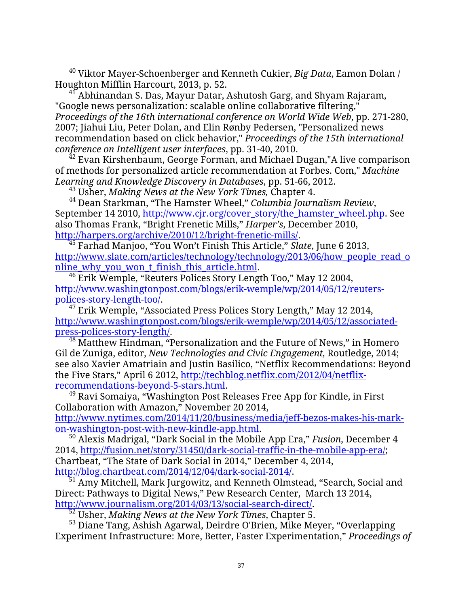<span id="page-36-0"></span><sup>40</sup> Viktor Mayer-Schoenberger and Kenneth Cukier, *Big Data*, Eamon Dolan / Houghton Mifflin Harcourt, 2013, p. 52. <sup>41</sup> Abhinandan S. Das, Mayur Datar, Ashutosh Garg, and Shyam Rajaram,

<span id="page-36-1"></span>"Google news personalization: scalable online collaborative filtering," *Proceedings of the 16th international conference on World Wide Web*, pp. 271-280, 2007; Jiahui Liu, Peter Dolan, and Elin Rønby Pedersen, "Personalized news recommendation based on click behavior," *Proceedings of the 15th international conference on Intelligent user interfaces*, pp. 31-40, 2010.

<span id="page-36-2"></span> $^{42}$  Evan Kirshenbaum, George Forman, and Michael Dugan,"A live comparison of methods for personalized article recommendation at Forbes. Com," *Machine Learning and Knowledge Discovery in Databases*, pp. 51-66, 2012.

<span id="page-36-4"></span><span id="page-36-3"></span><sup>44</sup> Dean Starkman, "The Hamster Wheel," *Columbia Journalism Review*, September 14 2010, [http://www.cjr.org/cover\\_story/the\\_hamster\\_wheel.php.](http://www.cjr.org/cover_story/the_hamster_wheel.php) See also Thomas Frank, "Bright Frenetic Mills," *Harper's*, December 2010, [http://harpers.org/archive/2010/12/bright-frenetic-mills/.](http://harpers.org/archive/2010/12/bright-frenetic-mills/) [45](http://harpers.org/archive/2010/12/bright-frenetic-mills/) Farhad Manjoo, "You Won't Finish This Article," *Slate*, June 6 2013,

<span id="page-36-5"></span>http://www.slate.com/articles/technology/technology/2013/06/how people read o [nline\\_why\\_you\\_won\\_t\\_finish\\_this\\_article.html.](http://www.slate.com/articles/technology/technology/2013/06/how_people_read_online_why_you_won_t_finish_this_article.html)<br><sup>[46](http://www.slate.com/articles/technology/technology/2013/06/how_people_read_online_why_you_won_t_finish_this_article.html)</sup> Erik Wemple, "Reuters Polices Story Length Too," May 12 2004,

<span id="page-36-6"></span>[http://www.washingtonpost.com/blogs/erik-wemple/wp/2014/05/12/reuters](http://www.washingtonpost.com/blogs/erik-wemple/wp/2014/05/12/reuters-polices-story-length-too/)[polices-story-length-too/.](http://www.washingtonpost.com/blogs/erik-wemple/wp/2014/05/12/reuters-polices-story-length-too/) [47](http://www.washingtonpost.com/blogs/erik-wemple/wp/2014/05/12/reuters-polices-story-length-too/) Erik Wemple, "Associated Press Polices Story Length," May 12 2014,

<span id="page-36-7"></span>[http://www.washingtonpost.com/blogs/erik-wemple/wp/2014/05/12/associated-](http://www.washingtonpost.com/blogs/erik-wemple/wp/2014/05/12/associated-press-polices-story-length/)

<span id="page-36-8"></span>[press-polices-story-length/.](http://www.washingtonpost.com/blogs/erik-wemple/wp/2014/05/12/associated-press-polices-story-length/) <sup>48</sup> Matthew Hindman, "Personalization and the Future of News," in Homero Gil de Zuniga, editor, *New Technologies and Civic Engagement,* Routledge, 2014; see also Xavier Amatriain and Justin Basilico, "Netflix Recommendations: Beyond the Five Stars," April 6 2012, [http://techblog.netflix.com/2012/04/netflix](http://techblog.netflix.com/2012/04/netflix-recommendations-beyond-5-stars.html)[recommendations-beyond-5-stars.html.](http://techblog.netflix.com/2012/04/netflix-recommendations-beyond-5-stars.html) [49](http://techblog.netflix.com/2012/04/netflix-recommendations-beyond-5-stars.html) Ravi Somaiya, "Washington Post Releases Free App for Kindle, in First

<span id="page-36-9"></span>Collaboration with Amazon," November 20 2014,

[http://www.nytimes.com/2014/11/20/business/media/jeff-bezos-makes-his-mark-](http://www.nytimes.com/2014/11/20/business/media/jeff-bezos-makes-his-mark-on-washington-post-with-new-kindle-app.html)

<span id="page-36-10"></span> $\frac{50}{10}$  Alexis Madrigal, "Dark Social in the Mobile App Era," *Fusion*, December 4 2014, [http://fusion.net/story/31450/dark-social-traffic-in-the-mobile-app-era/;](http://fusion.net/story/31450/dark-social-traffic-in-the-mobile-app-era/) Chartbeat, "The State of Dark Social in 2014," December 4, 2014, [http://blog.chartbeat.com/2014/12/04/dark-social-2014/.](http://blog.chartbeat.com/2014/12/04/dark-social-2014/) [51](http://blog.chartbeat.com/2014/12/04/dark-social-2014/) Amy Mitchell, Mark Jurgowitz, and Kenneth Olmstead, "Search, Social and

<span id="page-36-11"></span>Direct: Pathways to Digital News," Pew Research Center, March 13 2014,

<span id="page-36-13"></span><span id="page-36-12"></span>[http://www.journalism.org/2014/03/13/social-search-direct/.](http://www.journalism.org/2014/03/13/social-search-direct/) [52](http://www.journalism.org/2014/03/13/social-search-direct/) Usher, *Making News at the New York Times*, Chapter 5. <sup>53</sup> Diane Tang, Ashish Agarwal, Deirdre O'Brien, Mike Meyer, "Overlapping Experiment Infrastructure: More, Better, Faster Experimentation," *Proceedings of*